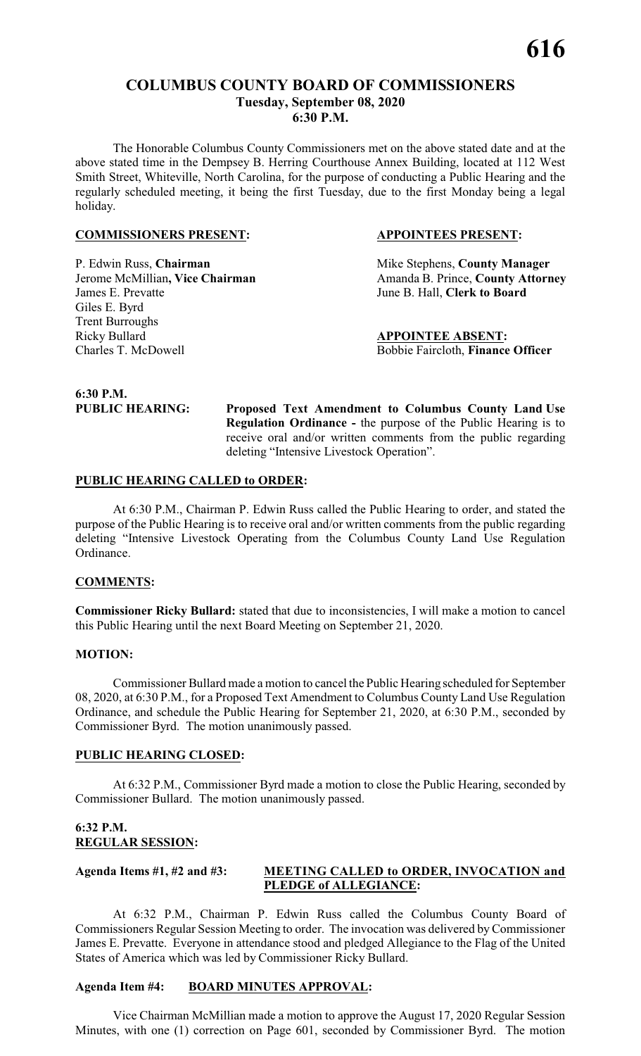# **COLUMBUS COUNTY BOARD OF COMMISSIONERS Tuesday, September 08, 2020 6:30 P.M.**

The Honorable Columbus County Commissioners met on the above stated date and at the above stated time in the Dempsey B. Herring Courthouse Annex Building, located at 112 West Smith Street, Whiteville, North Carolina, for the purpose of conducting a Public Hearing and the regularly scheduled meeting, it being the first Tuesday, due to the first Monday being a legal holiday.

#### **COMMISSIONERS PRESENT: APPOINTEES PRESENT:**

James E. Prevatte June B. Hall, **Clerk to Board** Giles E. Byrd Trent Burroughs Ricky Bullard<br>
Charles T. McDowell<br> **APPOINTEE ABSENT:**<br>
Bobbie Faircloth, **Finance** 

P. Edwin Russ, **Chairman** Mike Stephens, **County Manager** Jerome McMillian, Vice Chairman Amanda B. Prince, County Attorney

Bobbie Faircloth, Finance Officer

**6:30 P.M.**

**PUBLIC HEARING: Proposed Text Amendment to Columbus County Land Use Regulation Ordinance -** the purpose of the Public Hearing is to receive oral and/or written comments from the public regarding deleting "Intensive Livestock Operation".

#### **PUBLIC HEARING CALLED to ORDER:**

At 6:30 P.M., Chairman P. Edwin Russ called the Public Hearing to order, and stated the purpose of the Public Hearing is to receive oral and/or written comments from the public regarding deleting "Intensive Livestock Operating from the Columbus County Land Use Regulation Ordinance.

#### **COMMENTS:**

**Commissioner Ricky Bullard:** stated that due to inconsistencies, I will make a motion to cancel this Public Hearing until the next Board Meeting on September 21, 2020.

#### **MOTION:**

Commissioner Bullard made a motion to cancel the Public Hearing scheduled for September 08, 2020, at 6:30 P.M., for a Proposed Text Amendment to Columbus County Land Use Regulation Ordinance, and schedule the Public Hearing for September 21, 2020, at 6:30 P.M., seconded by Commissioner Byrd. The motion unanimously passed.

#### **PUBLIC HEARING CLOSED:**

At 6:32 P.M., Commissioner Byrd made a motion to close the Public Hearing, seconded by Commissioner Bullard. The motion unanimously passed.

#### **6:32 P.M. REGULAR SESSION:**

# **Agenda Items #1, #2 and #3: MEETING CALLED to ORDER, INVOCATION and PLEDGE of ALLEGIANCE:**

At 6:32 P.M., Chairman P. Edwin Russ called the Columbus County Board of Commissioners Regular Session Meeting to order. The invocation was delivered byCommissioner James E. Prevatte. Everyone in attendance stood and pledged Allegiance to the Flag of the United States of America which was led by Commissioner Ricky Bullard.

#### **Agenda Item #4: BOARD MINUTES APPROVAL:**

Vice Chairman McMillian made a motion to approve the August 17, 2020 Regular Session Minutes, with one (1) correction on Page 601, seconded by Commissioner Byrd. The motion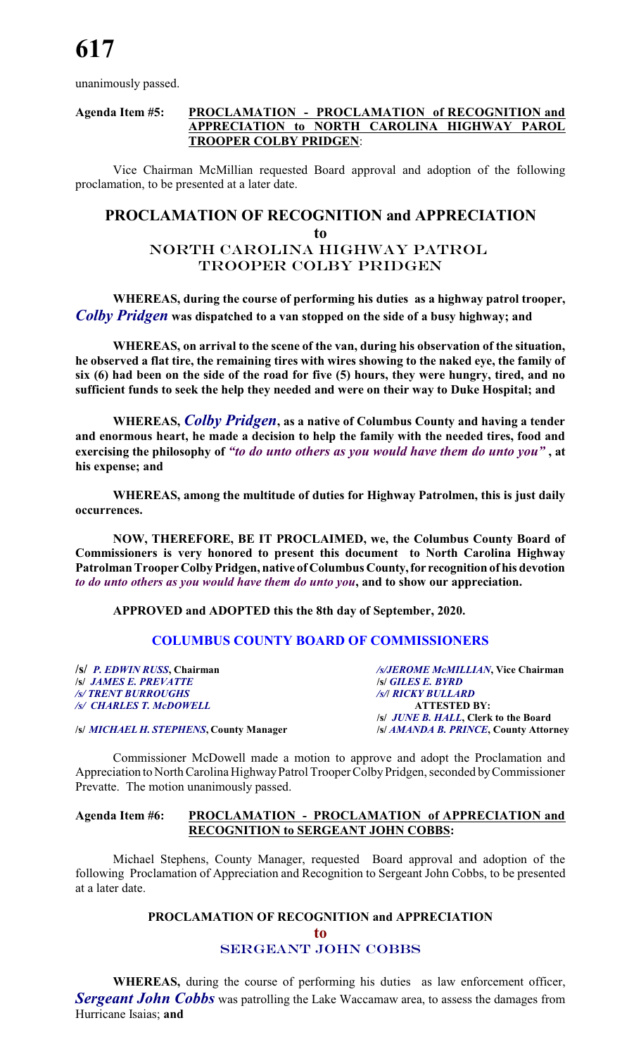unanimously passed.

### **Agenda Item #5: PROCLAMATION - PROCLAMATION of RECOGNITION and APPRECIATION to NORTH CAROLINA HIGHWAY PAROL TROOPER COLBY PRIDGEN**:

Vice Chairman McMillian requested Board approval and adoption of the following proclamation, to be presented at a later date.

# **PROCLAMATION OF RECOGNITION and APPRECIATION**

**to**

# North CAROLINA Highway Patrol Trooper colby pridgen

**WHEREAS, during the course of performing his duties as a highway patrol trooper,** *Colby Pridgen* **was dispatched to a van stopped on the side of a busy highway; and**

**WHEREAS, on arrival to the scene of the van, during his observation of the situation, he observed a flat tire, the remaining tires with wires showing to the naked eye, the family of six (6) had been on the side of the road for five (5) hours, they were hungry, tired, and no sufficient funds to seek the help they needed and were on their way to Duke Hospital; and**

**WHEREAS,** *Colby Pridgen***, as a native of Columbus County and having a tender and enormous heart, he made a decision to help the family with the needed tires, food and exercising the philosophy of** *"to do unto others as you would have them do unto you"* **, at his expense; and**

**WHEREAS, among the multitude of duties for Highway Patrolmen, this is just daily occurrences.**

**NOW, THEREFORE, BE IT PROCLAIMED, we, the Columbus County Board of Commissioners is very honored to present this document to North Carolina Highway Patrolman Trooper Colby Pridgen, native of Columbus County,for recognition of his devotion** *to do unto others as you would have them do unto you***, and to show our appreciation.**

**APPROVED and ADOPTED this the 8th day of September, 2020.**

#### **COLUMBUS COUNTY BOARD OF COMMISSIONERS**

**/s/** *P. EDWIN RUSS***, Chairman** */s/JEROME McMILLIAN***, Vice Chairman /s/** *JAMES E. PREVATTE* **/s/** *GILES E. BYRD /s/ TRENT BURROUGHS /s/***/** *RICKY BULLARD /s/ CHARLES T. McDOWELL* **ATTESTED BY:**

**/s/** *JUNE B. HALL***, Clerk to the Board**

**/s/** *MICHAEL H. STEPHENS***, County Manager /s/** *AMANDA B. PRINCE***, County Attorney**

Commissioner McDowell made a motion to approve and adopt the Proclamation and Appreciation to North Carolina HighwayPatrol Trooper ColbyPridgen, seconded byCommissioner Prevatte. The motion unanimously passed.

#### **Agenda Item #6: PROCLAMATION - PROCLAMATION of APPRECIATION and RECOGNITION to SERGEANT JOHN COBBS:**

Michael Stephens, County Manager, requested Board approval and adoption of the following Proclamation of Appreciation and Recognition to Sergeant John Cobbs, to be presented at a later date.

# **PROCLAMATION OF RECOGNITION and APPRECIATION to** *SERGEANT John cobbs*

**WHEREAS,** during the course of performing his duties as law enforcement officer, *Sergeant John Cobbs* was patrolling the Lake Waccamaw area, to assess the damages from Hurricane Isaias; **and**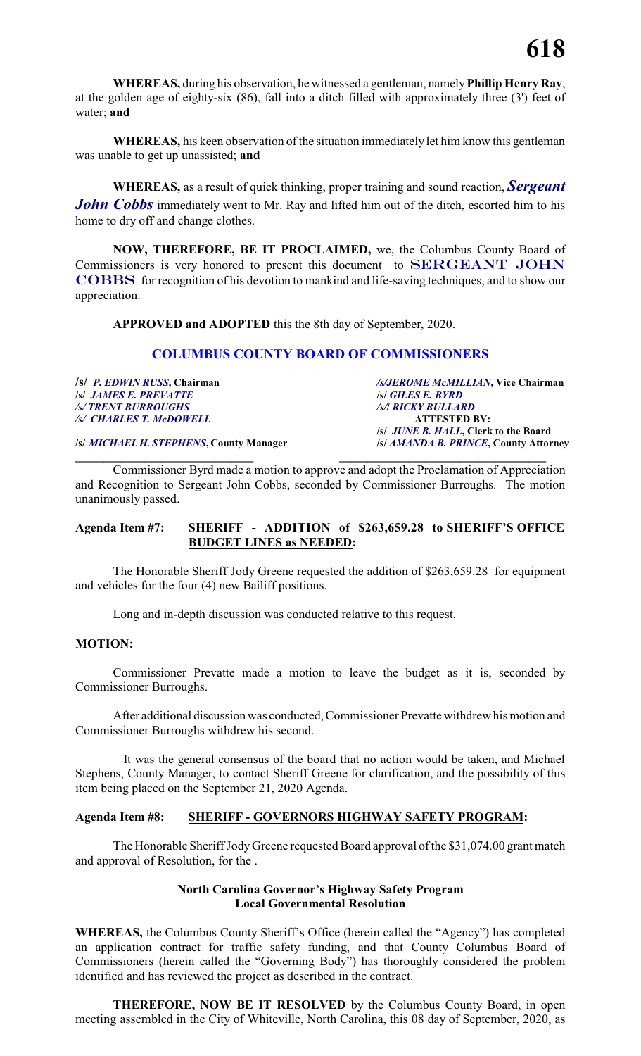**WHEREAS,** during his observation, he witnessed a gentleman, namely**Phillip Henry Ray**, at the golden age of eighty-six (86), fall into a ditch filled with approximately three (3') feet of water; **and**

**WHEREAS,** his keen observation of the situation immediately let him know this gentleman was unable to get up unassisted; **and**

**WHEREAS,** as a result of quick thinking, proper training and sound reaction, *Sergeant John Cobbs* immediately went to Mr. Ray and lifted him out of the ditch, escorted him to his home to dry off and change clothes.

**NOW, THEREFORE, BE IT PROCLAIMED,** we, the Columbus County Board of Commissioners is very honored to present this document to *SERGEANT JOHN COBBS* for recognition of his devotion to mankind and life-saving techniques, and to show our appreciation.

**APPROVED and ADOPTED** this the 8th day of September, 2020.

# **COLUMBUS COUNTY BOARD OF COMMISSIONERS**

**/s/** *P. EDWIN RUSS***, Chairman** */s/JEROME McMILLIAN***, Vice Chairman /s/** *JAMES E. PREVATTE* **/s/** *GILES E. BYRD /s/ TRENT BURROUGHS /s/***/** *RICKY BULLARD /s/ CHARLES T. McDOWELL* **ATTESTED BY: /s/** *JUNE B. HALL***, Clerk to the Board /s/** *MICHAEL H. STEPHENS***, County Manager /s/** *AMANDA B. PRINCE***, County Attorney**

**\_\_\_\_\_\_\_\_\_\_\_\_\_\_\_\_\_\_\_\_\_\_\_\_\_\_\_\_\_\_\_ \_\_\_\_\_\_\_\_\_\_\_\_\_\_\_\_\_\_\_\_\_\_\_\_\_\_\_\_\_\_\_\_\_\_\_\_** Commissioner Byrd made a motion to approve and adopt the Proclamation of Appreciation and Recognition to Sergeant John Cobbs, seconded by Commissioner Burroughs. The motion unanimously passed.

# **Agenda Item #7: SHERIFF - ADDITION of \$263,659.28 to SHERIFF'S OFFICE BUDGET LINES as NEEDED:**

The Honorable Sheriff Jody Greene requested the addition of \$263,659.28 for equipment and vehicles for the four (4) new Bailiff positions.

Long and in-depth discussion was conducted relative to this request.

#### **MOTION:**

Commissioner Prevatte made a motion to leave the budget as it is, seconded by Commissioner Burroughs.

After additional discussion was conducted, Commissioner Prevatte withdrew his motion and Commissioner Burroughs withdrew his second.

It was the general consensus of the board that no action would be taken, and Michael Stephens, County Manager, to contact Sheriff Greene for clarification, and the possibility of this item being placed on the September 21, 2020 Agenda.

#### **Agenda Item #8: SHERIFF - GOVERNORS HIGHWAY SAFETY PROGRAM:**

The Honorable Sheriff Jody Greene requested Board approval of the \$31,074.00 grant match and approval of Resolution, for the .

# **North Carolina Governor's Highway Safety Program Local Governmental Resolution**

**WHEREAS,** the Columbus County Sheriff's Office (herein called the "Agency") has completed an application contract for traffic safety funding, and that County Columbus Board of Commissioners (herein called the "Governing Body") has thoroughly considered the problem identified and has reviewed the project as described in the contract.

**THEREFORE, NOW BE IT RESOLVED** by the Columbus County Board, in open meeting assembled in the City of Whiteville, North Carolina, this 08 day of September, 2020, as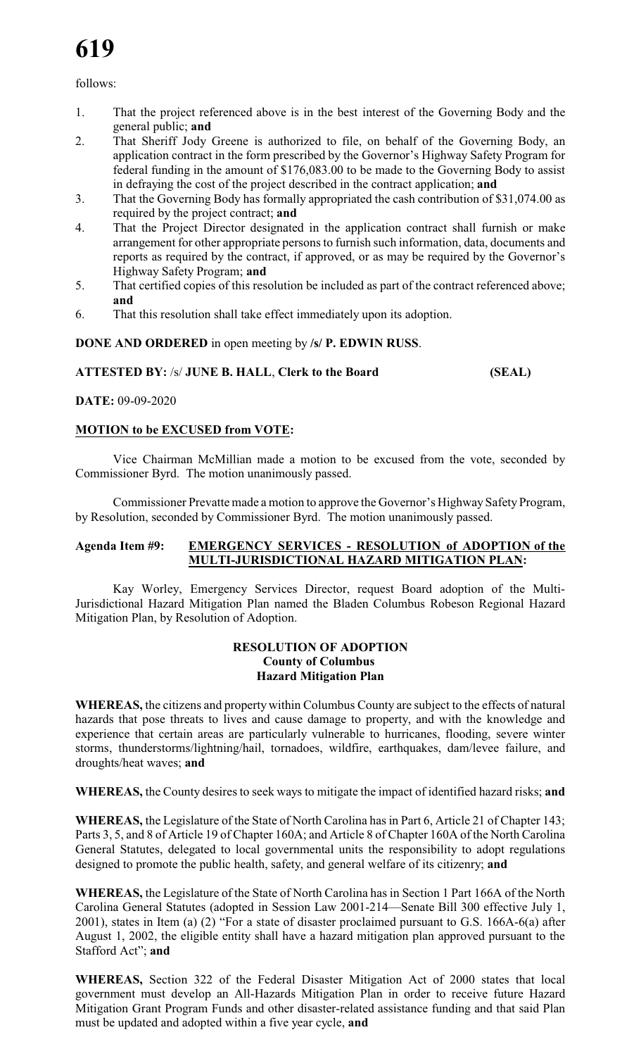follows:

- 1. That the project referenced above is in the best interest of the Governing Body and the general public; **and**
- 2. That Sheriff Jody Greene is authorized to file, on behalf of the Governing Body, an application contract in the form prescribed by the Governor's Highway Safety Program for federal funding in the amount of \$176,083.00 to be made to the Governing Body to assist in defraying the cost of the project described in the contract application; **and**
- 3. That the Governing Body has formally appropriated the cash contribution of \$31,074.00 as required by the project contract; **and**
- 4. That the Project Director designated in the application contract shall furnish or make arrangement for other appropriate persons to furnish such information, data, documents and reports as required by the contract, if approved, or as may be required by the Governor's Highway Safety Program; **and**
- 5. That certified copies of this resolution be included as part of the contract referenced above; **and**
- 6. That this resolution shall take effect immediately upon its adoption.

**DONE AND ORDERED** in open meeting by **/s/ P. EDWIN RUSS**.

# **ATTESTED BY:** /s/ **JUNE B. HALL**, **Clerk to the Board (SEAL)**

**DATE:** 09-09-2020

# **MOTION to be EXCUSED from VOTE:**

Vice Chairman McMillian made a motion to be excused from the vote, seconded by Commissioner Byrd. The motion unanimously passed.

Commissioner Prevatte made a motion to approve the Governor's Highway Safety Program, by Resolution, seconded by Commissioner Byrd. The motion unanimously passed.

#### **Agenda Item #9: EMERGENCY SERVICES - RESOLUTION of ADOPTION of the MULTI-JURISDICTIONAL HAZARD MITIGATION PLAN:**

Kay Worley, Emergency Services Director, request Board adoption of the Multi-Jurisdictional Hazard Mitigation Plan named the Bladen Columbus Robeson Regional Hazard Mitigation Plan, by Resolution of Adoption.

## **RESOLUTION OF ADOPTION County of Columbus Hazard Mitigation Plan**

**WHEREAS,** the citizens and property within Columbus County are subject to the effects of natural hazards that pose threats to lives and cause damage to property, and with the knowledge and experience that certain areas are particularly vulnerable to hurricanes, flooding, severe winter storms, thunderstorms/lightning/hail, tornadoes, wildfire, earthquakes, dam/levee failure, and droughts/heat waves; **and**

**WHEREAS,** the County desires to seek ways to mitigate the impact of identified hazard risks; **and**

**WHEREAS,** the Legislature of the State of North Carolina has in Part 6, Article 21 of Chapter 143; Parts 3, 5, and 8 of Article 19 of Chapter 160A; and Article 8 of Chapter 160A of the North Carolina General Statutes, delegated to local governmental units the responsibility to adopt regulations designed to promote the public health, safety, and general welfare of its citizenry; **and**

**WHEREAS,** the Legislature of the State of North Carolina has in Section 1 Part 166A of the North Carolina General Statutes (adopted in Session Law 2001-214—Senate Bill 300 effective July 1, 2001), states in Item (a) (2) "For a state of disaster proclaimed pursuant to G.S. 166A-6(a) after August 1, 2002, the eligible entity shall have a hazard mitigation plan approved pursuant to the Stafford Act"; **and**

**WHEREAS,** Section 322 of the Federal Disaster Mitigation Act of 2000 states that local government must develop an All-Hazards Mitigation Plan in order to receive future Hazard Mitigation Grant Program Funds and other disaster-related assistance funding and that said Plan must be updated and adopted within a five year cycle, **and**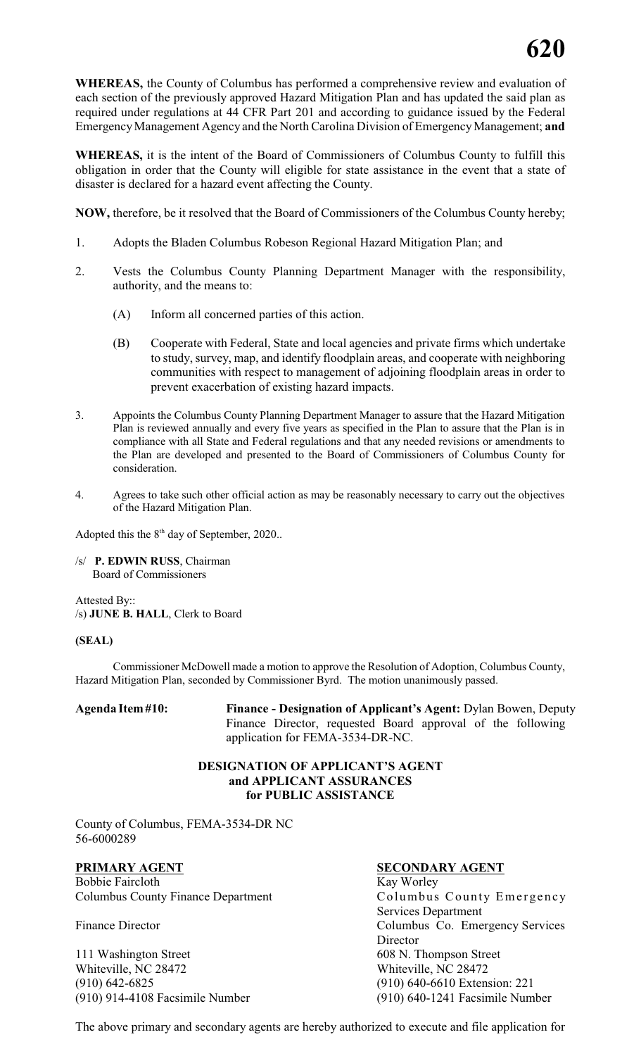**WHEREAS,** the County of Columbus has performed a comprehensive review and evaluation of each section of the previously approved Hazard Mitigation Plan and has updated the said plan as required under regulations at 44 CFR Part 201 and according to guidance issued by the Federal EmergencyManagement Agency and the North Carolina Division of EmergencyManagement; **and**

**WHEREAS,** it is the intent of the Board of Commissioners of Columbus County to fulfill this obligation in order that the County will eligible for state assistance in the event that a state of disaster is declared for a hazard event affecting the County.

**NOW,** therefore, be it resolved that the Board of Commissioners of the Columbus County hereby;

- 1. Adopts the Bladen Columbus Robeson Regional Hazard Mitigation Plan; and
- 2. Vests the Columbus County Planning Department Manager with the responsibility, authority, and the means to:
	- (A) Inform all concerned parties of this action.
	- (B) Cooperate with Federal, State and local agencies and private firms which undertake to study, survey, map, and identify floodplain areas, and cooperate with neighboring communities with respect to management of adjoining floodplain areas in order to prevent exacerbation of existing hazard impacts.
- 3. Appoints the Columbus County Planning Department Manager to assure that the Hazard Mitigation Plan is reviewed annually and every five years as specified in the Plan to assure that the Plan is in compliance with all State and Federal regulations and that any needed revisions or amendments to the Plan are developed and presented to the Board of Commissioners of Columbus County for consideration.
- 4. Agrees to take such other official action as may be reasonably necessary to carry out the objectives of the Hazard Mitigation Plan.

Adopted this the  $8<sup>th</sup>$  day of September, 2020..

/s/ **P. EDWIN RUSS**, Chairman Board of Commissioners

Attested By:: /s) **JUNE B. HALL**, Clerk to Board

#### **(SEAL)**

Commissioner McDowell made a motion to approve the Resolution of Adoption, Columbus County, Hazard Mitigation Plan, seconded by Commissioner Byrd. The motion unanimously passed.

**Agenda Item#10: Finance - Designation of Applicant's Agent:** Dylan Bowen, Deputy Finance Director, requested Board approval of the following application for FEMA-3534-DR-NC.

## **DESIGNATION OF APPLICANT'S AGENT and APPLICANT ASSURANCES for PUBLIC ASSISTANCE**

County of Columbus, FEMA-3534-DR NC 56-6000289

**PRIMARY AGENT SECONDARY AGENT** Bobbie Faircloth Kay Worley Columbus County Finance Department Columbus County Emergency

111 Washington Street 608 N. Thompson Street Whiteville, NC 28472 Whiteville, NC 28472 (910) 642-6825 (910) 640-6610 Extension: 221 (910) 914-4108 Facsimile Number (910) 640-1241 Facsimile Number

Services Department Finance Director **Columbus Co.** Emergency Services Director

The above primary and secondary agents are hereby authorized to execute and file application for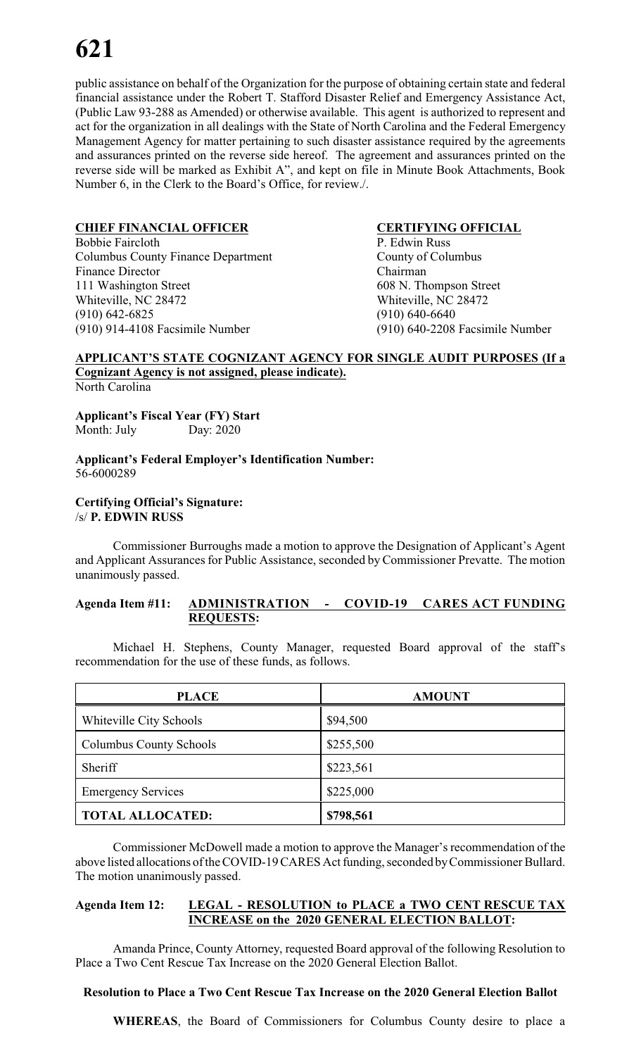public assistance on behalf of the Organization for the purpose of obtaining certain state and federal financial assistance under the Robert T. Stafford Disaster Relief and Emergency Assistance Act, (Public Law 93-288 as Amended) or otherwise available. This agent is authorized to represent and act for the organization in all dealings with the State of North Carolina and the Federal Emergency Management Agency for matter pertaining to such disaster assistance required by the agreements and assurances printed on the reverse side hereof. The agreement and assurances printed on the reverse side will be marked as Exhibit A", and kept on file in Minute Book Attachments, Book Number 6, in the Clerk to the Board's Office, for review./.

# **CHIEF FINANCIAL OFFICER CERTIFYING OFFICIAL**

Bobbie Faircloth P. Edwin Russ Columbus County Finance Department County of Columbus Finance Director Chairman 111 Washington Street 608 N. Thompson Street Whiteville, NC 28472 Whiteville, NC 28472 (910) 642-6825 (910) 640-6640 (910) 914-4108 Facsimile Number (910) 640-2208 Facsimile Number

# **APPLICANT'S STATE COGNIZANT AGENCY FOR SINGLE AUDIT PURPOSES (If a Cognizant Agency is not assigned, please indicate).**

North Carolina

**Applicant's Fiscal Year (FY) Start** Month: July Day: 2020

**Applicant's Federal Employer's Identification Number:** 56-6000289

#### **Certifying Official's Signature:** /s/ **P. EDWIN RUSS**

Commissioner Burroughs made a motion to approve the Designation of Applicant's Agent and Applicant Assurances for Public Assistance, seconded by Commissioner Prevatte. The motion unanimously passed.

#### **Agenda Item #11: ADMINISTRATION - COVID-19 CARES ACT FUNDING REQUESTS:**

Michael H. Stephens, County Manager, requested Board approval of the staff's recommendation for the use of these funds, as follows.

| <b>PLACE</b>                   | <b>AMOUNT</b> |
|--------------------------------|---------------|
| Whiteville City Schools        | \$94,500      |
| <b>Columbus County Schools</b> | \$255,500     |
| Sheriff                        | \$223,561     |
| <b>Emergency Services</b>      | \$225,000     |
| <b>TOTAL ALLOCATED:</b>        | \$798,561     |

Commissioner McDowell made a motion to approve the Manager's recommendation of the above listed allocations of the COVID-19 CARES Act funding, seconded byCommissioner Bullard. The motion unanimously passed.

# **Agenda Item 12: LEGAL - RESOLUTION to PLACE a TWO CENT RESCUE TAX INCREASE on the 2020 GENERAL ELECTION BALLOT:**

Amanda Prince, County Attorney, requested Board approval of the following Resolution to Place a Two Cent Rescue Tax Increase on the 2020 General Election Ballot.

# **Resolution to Place a Two Cent Rescue Tax Increase on the 2020 General Election Ballot**

**WHEREAS**, the Board of Commissioners for Columbus County desire to place a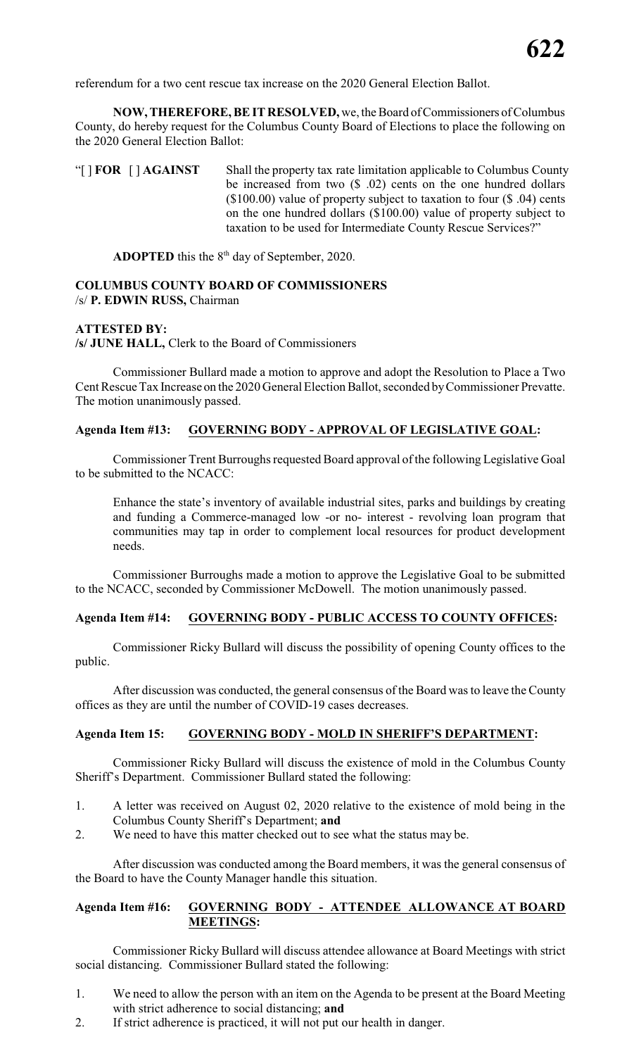referendum for a two cent rescue tax increase on the 2020 General Election Ballot.

**NOW, THEREFORE, BE IT RESOLVED,** we, the Board of Commissioners of Columbus County, do hereby request for the Columbus County Board of Elections to place the following on the 2020 General Election Ballot:

"[ ] **FOR** [ ] **AGAINST** Shall the property tax rate limitation applicable to Columbus County be increased from two (\$ .02) cents on the one hundred dollars (\$100.00) value of property subject to taxation to four (\$ .04) cents on the one hundred dollars (\$100.00) value of property subject to taxation to be used for Intermediate County Rescue Services?"

**ADOPTED** this the  $8<sup>th</sup>$  day of September, 2020.

#### **COLUMBUS COUNTY BOARD OF COMMISSIONERS** /s/ **P. EDWIN RUSS,** Chairman

#### **ATTESTED BY:**

**/s/ JUNE HALL,** Clerk to the Board of Commissioners

Commissioner Bullard made a motion to approve and adopt the Resolution to Place a Two Cent Rescue Tax Increase on the 2020 General Election Ballot, seconded byCommissioner Prevatte. The motion unanimously passed.

# **Agenda Item #13: GOVERNING BODY - APPROVAL OF LEGISLATIVE GOAL:**

Commissioner Trent Burroughs requested Board approval of the following Legislative Goal to be submitted to the NCACC:

Enhance the state's inventory of available industrial sites, parks and buildings by creating and funding a Commerce-managed low -or no- interest - revolving loan program that communities may tap in order to complement local resources for product development needs.

Commissioner Burroughs made a motion to approve the Legislative Goal to be submitted to the NCACC, seconded by Commissioner McDowell. The motion unanimously passed.

#### **Agenda Item #14: GOVERNING BODY - PUBLIC ACCESS TO COUNTY OFFICES:**

Commissioner Ricky Bullard will discuss the possibility of opening County offices to the public.

After discussion was conducted, the general consensus of the Board was to leave the County offices as they are until the number of COVID-19 cases decreases.

#### **Agenda Item 15: GOVERNING BODY - MOLD IN SHERIFF'S DEPARTMENT:**

Commissioner Ricky Bullard will discuss the existence of mold in the Columbus County Sheriff's Department. Commissioner Bullard stated the following:

- 1. A letter was received on August 02, 2020 relative to the existence of mold being in the Columbus County Sheriff's Department; **and**
- 2. We need to have this matter checked out to see what the status may be.

After discussion was conducted among the Board members, it was the general consensus of the Board to have the County Manager handle this situation.

#### **Agenda Item #16: GOVERNING BODY - ATTENDEE ALLOWANCE AT BOARD MEETINGS:**

Commissioner Ricky Bullard will discuss attendee allowance at Board Meetings with strict social distancing. Commissioner Bullard stated the following:

- 1. We need to allow the person with an item on the Agenda to be present at the Board Meeting with strict adherence to social distancing; **and**
- 2. If strict adherence is practiced, it will not put our health in danger.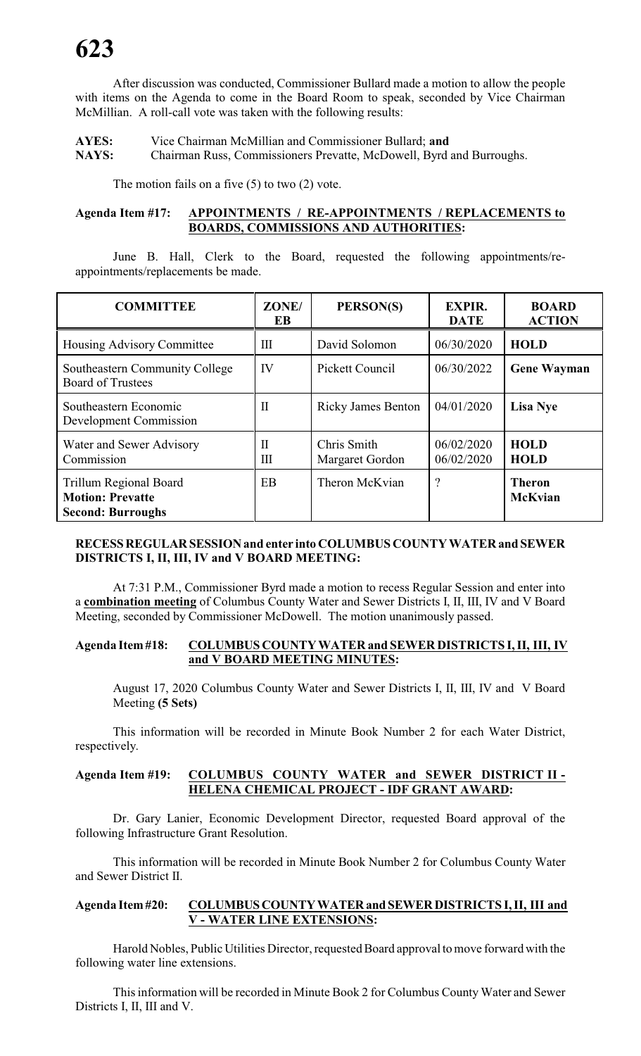After discussion was conducted, Commissioner Bullard made a motion to allow the people with items on the Agenda to come in the Board Room to speak, seconded by Vice Chairman McMillian. A roll-call vote was taken with the following results:

**AYES:** Vice Chairman McMillian and Commissioner Bullard; **and NAYS:** Chairman Russ, Commissioners Prevatte, McDowell, Byrd and Burroughs.

The motion fails on a five (5) to two (2) vote.

# **Agenda Item #17: APPOINTMENTS / RE-APPOINTMENTS / REPLACEMENTS to BOARDS, COMMISSIONS AND AUTHORITIES:**

June B. Hall, Clerk to the Board, requested the following appointments/reappointments/replacements be made.

| <b>COMMITTEE</b>                                                              | ZONE/<br>EB       | PERSON(S)                      | <b>EXPIR.</b><br><b>DATE</b> | <b>BOARD</b><br><b>ACTION</b>   |
|-------------------------------------------------------------------------------|-------------------|--------------------------------|------------------------------|---------------------------------|
| Housing Advisory Committee                                                    | Ш                 | David Solomon                  | 06/30/2020                   | <b>HOLD</b>                     |
| Southeastern Community College<br><b>Board of Trustees</b>                    | IV                | Pickett Council                | 06/30/2022                   | <b>Gene Wayman</b>              |
| Southeastern Economic<br>Development Commission                               | $\mathbf{I}$      | <b>Ricky James Benton</b>      | 04/01/2020                   | <b>Lisa Nye</b>                 |
| Water and Sewer Advisory<br>Commission                                        | $\mathbf{I}$<br>Ш | Chris Smith<br>Margaret Gordon | 06/02/2020<br>06/02/2020     | <b>HOLD</b><br><b>HOLD</b>      |
| Trillum Regional Board<br><b>Motion: Prevatte</b><br><b>Second: Burroughs</b> | EB                | Theron McKvian                 | $\ddot{?}$                   | <b>Theron</b><br><b>McKvian</b> |

# **RECESSREGULARSESSIONand enter into COLUMBUS COUNTY WATER and SEWER DISTRICTS I, II, III, IV and V BOARD MEETING:**

At 7:31 P.M., Commissioner Byrd made a motion to recess Regular Session and enter into a **combination meeting** of Columbus County Water and Sewer Districts I, II, III, IV and V Board Meeting, seconded by Commissioner McDowell. The motion unanimously passed.

#### **Agenda Item#18: COLUMBUS COUNTY WATER and SEWER DISTRICTS I, II, III, IV and V BOARD MEETING MINUTES:**

August 17, 2020 Columbus County Water and Sewer Districts I, II, III, IV and V Board Meeting **(5 Sets)**

This information will be recorded in Minute Book Number 2 for each Water District, respectively.

# **Agenda Item #19: COLUMBUS COUNTY WATER and SEWER DISTRICT II - HELENA CHEMICAL PROJECT - IDF GRANT AWARD:**

Dr. Gary Lanier, Economic Development Director, requested Board approval of the following Infrastructure Grant Resolution.

This information will be recorded in Minute Book Number 2 for Columbus County Water and Sewer District II.

### **Agenda Item#20: COLUMBUSCOUNTYWATERand SEWERDISTRICTS I, II, III and V - WATER LINE EXTENSIONS:**

Harold Nobles, Public Utilities Director, requested Board approval to move forward with the following water line extensions.

This information will be recorded in Minute Book 2 for Columbus County Water and Sewer Districts I, II, III and V.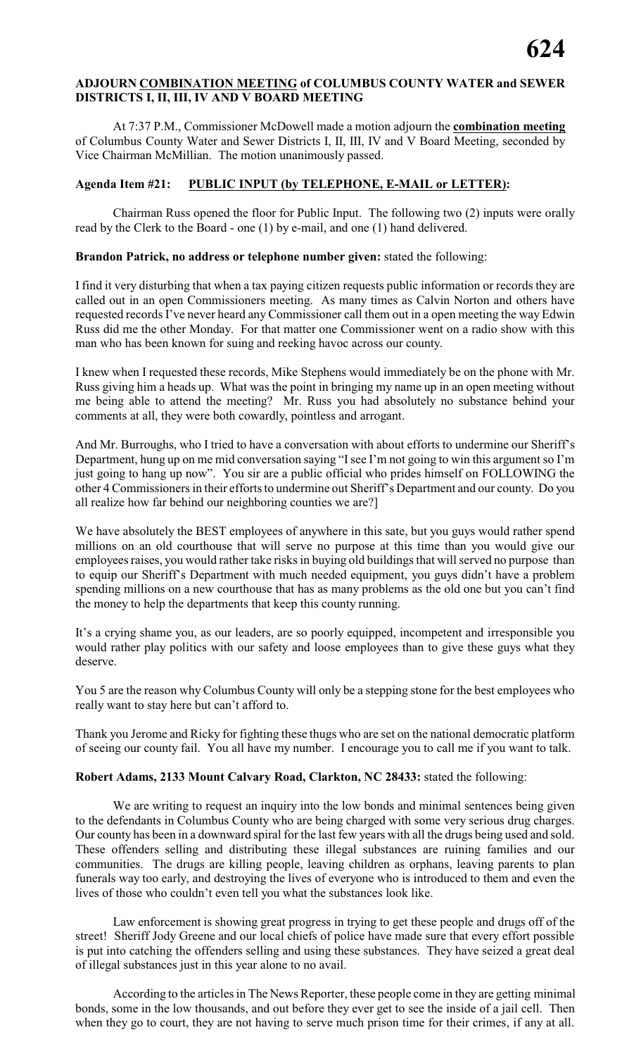# **ADJOURN COMBINATION MEETING of COLUMBUS COUNTY WATER and SEWER DISTRICTS I, II, III, IV AND V BOARD MEETING**

At 7:37 P.M., Commissioner McDowell made a motion adjourn the **combination meeting** of Columbus County Water and Sewer Districts I, II, III, IV and V Board Meeting, seconded by Vice Chairman McMillian. The motion unanimously passed.

### **Agenda Item #21: PUBLIC INPUT (by TELEPHONE, E-MAIL or LETTER):**

Chairman Russ opened the floor for Public Input. The following two (2) inputs were orally read by the Clerk to the Board - one (1) by e-mail, and one (1) hand delivered.

### **Brandon Patrick, no address or telephone number given:** stated the following:

I find it very disturbing that when a tax paying citizen requests public information or records they are called out in an open Commissioners meeting. As many times as Calvin Norton and others have requested records I've never heard anyCommissioner call them out in a open meeting the way Edwin Russ did me the other Monday. For that matter one Commissioner went on a radio show with this man who has been known for suing and reeking havoc across our county.

I knew when I requested these records, Mike Stephens would immediately be on the phone with Mr. Russ giving him a heads up. What was the point in bringing my name up in an open meeting without me being able to attend the meeting? Mr. Russ you had absolutely no substance behind your comments at all, they were both cowardly, pointless and arrogant.

And Mr. Burroughs, who I tried to have a conversation with about efforts to undermine our Sheriff's Department, hung up on me mid conversation saying "Isee I'm not going to win this argument so I'm just going to hang up now". You sir are a public official who prides himself on FOLLOWING the other 4 Commissioners in their efforts to undermine out Sheriff's Department and our county. Do you all realize how far behind our neighboring counties we are?]

We have absolutely the BEST employees of anywhere in this sate, but you guys would rather spend millions on an old courthouse that will serve no purpose at this time than you would give our employees raises, you would rather take risks in buying old buildings that will served no purpose than to equip our Sheriff's Department with much needed equipment, you guys didn't have a problem spending millions on a new courthouse that has as many problems as the old one but you can't find the money to help the departments that keep this county running.

It's a crying shame you, as our leaders, are so poorly equipped, incompetent and irresponsible you would rather play politics with our safety and loose employees than to give these guys what they deserve.

You 5 are the reason why Columbus County will only be a stepping stone for the best employees who really want to stay here but can't afford to.

Thank you Jerome and Ricky for fighting these thugs who are set on the national democratic platform of seeing our county fail. You all have my number. I encourage you to call me if you want to talk.

#### **Robert Adams, 2133 Mount Calvary Road, Clarkton, NC 28433:** stated the following:

We are writing to request an inquiry into the low bonds and minimal sentences being given to the defendants in Columbus County who are being charged with some very serious drug charges. Our county has been in a downward spiral for the last few years with all the drugs being used and sold. These offenders selling and distributing these illegal substances are ruining families and our communities. The drugs are killing people, leaving children as orphans, leaving parents to plan funerals way too early, and destroying the lives of everyone who is introduced to them and even the lives of those who couldn't even tell you what the substances look like.

Law enforcement is showing great progress in trying to get these people and drugs off of the street! Sheriff Jody Greene and our local chiefs of police have made sure that every effort possible is put into catching the offenders selling and using these substances. They have seized a great deal of illegal substances just in this year alone to no avail.

According to the articles in The News Reporter, these people come in they are getting minimal bonds, some in the low thousands, and out before they ever get to see the inside of a jail cell. Then when they go to court, they are not having to serve much prison time for their crimes, if any at all.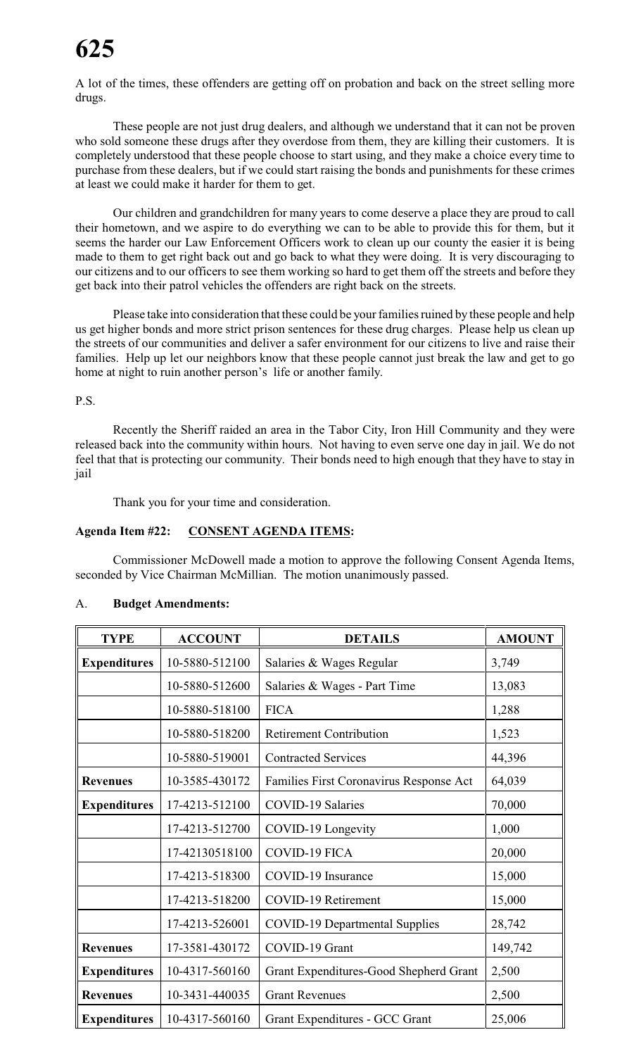A lot of the times, these offenders are getting off on probation and back on the street selling more drugs.

These people are not just drug dealers, and although we understand that it can not be proven who sold someone these drugs after they overdose from them, they are killing their customers. It is completely understood that these people choose to start using, and they make a choice every time to purchase from these dealers, but if we could start raising the bonds and punishments for these crimes at least we could make it harder for them to get.

Our children and grandchildren for many years to come deserve a place they are proud to call their hometown, and we aspire to do everything we can to be able to provide this for them, but it seems the harder our Law Enforcement Officers work to clean up our county the easier it is being made to them to get right back out and go back to what they were doing. It is very discouraging to our citizens and to our officers to see them working so hard to get them off the streets and before they get back into their patrol vehicles the offenders are right back on the streets.

Please take into consideration that these could be your families ruined by these people and help us get higher bonds and more strict prison sentences for these drug charges. Please help us clean up the streets of our communities and deliver a safer environment for our citizens to live and raise their families. Help up let our neighbors know that these people cannot just break the law and get to go home at night to ruin another person's life or another family.

P.S.

Recently the Sheriff raided an area in the Tabor City, Iron Hill Community and they were released back into the community within hours. Not having to even serve one day in jail. We do not feel that that is protecting our community. Their bonds need to high enough that they have to stay in jail

Thank you for your time and consideration.

# **Agenda Item #22: CONSENT AGENDA ITEMS:**

Commissioner McDowell made a motion to approve the following Consent Agenda Items, seconded by Vice Chairman McMillian. The motion unanimously passed.

| <b>TYPE</b>                                                       | <b>ACCOUNT</b>                                             | <b>DETAILS</b>                 | <b>AMOUNT</b> |  |
|-------------------------------------------------------------------|------------------------------------------------------------|--------------------------------|---------------|--|
| <b>Expenditures</b>                                               | 10-5880-512100                                             | Salaries & Wages Regular       | 3,749         |  |
|                                                                   | 10-5880-512600<br>Salaries & Wages - Part Time             |                                |               |  |
|                                                                   | 10-5880-518100<br><b>FICA</b>                              |                                | 1,288         |  |
|                                                                   | 10-5880-518200                                             | <b>Retirement Contribution</b> | 1,523         |  |
|                                                                   | 10-5880-519001                                             | <b>Contracted Services</b>     | 44,396        |  |
| <b>Revenues</b>                                                   | 10-3585-430172<br>Families First Coronavirus Response Act  |                                | 64,039        |  |
| <b>COVID-19 Salaries</b><br><b>Expenditures</b><br>17-4213-512100 |                                                            | 70,000                         |               |  |
| 17-4213-512700<br>COVID-19 Longevity                              |                                                            |                                | 1,000         |  |
| COVID-19 FICA<br>17-42130518100                                   |                                                            | 20,000                         |               |  |
| 17-4213-518300<br>COVID-19 Insurance                              |                                                            | 15,000                         |               |  |
| 17-4213-518200<br><b>COVID-19 Retirement</b>                      |                                                            | 15,000                         |               |  |
| 17-4213-526001<br><b>COVID-19 Departmental Supplies</b>           |                                                            | 28,742                         |               |  |
| <b>Revenues</b>                                                   | COVID-19 Grant<br>17-3581-430172                           |                                | 149,742       |  |
| <b>Expenditures</b>                                               | 10-4317-560160<br>Grant Expenditures-Good Shepherd Grant   |                                | 2,500         |  |
| <b>Revenues</b>                                                   | 10-3431-440035                                             | 2,500<br><b>Grant Revenues</b> |               |  |
| <b>Expenditures</b>                                               | 10-4317-560160<br>25,006<br>Grant Expenditures - GCC Grant |                                |               |  |

# A. **Budget Amendments:**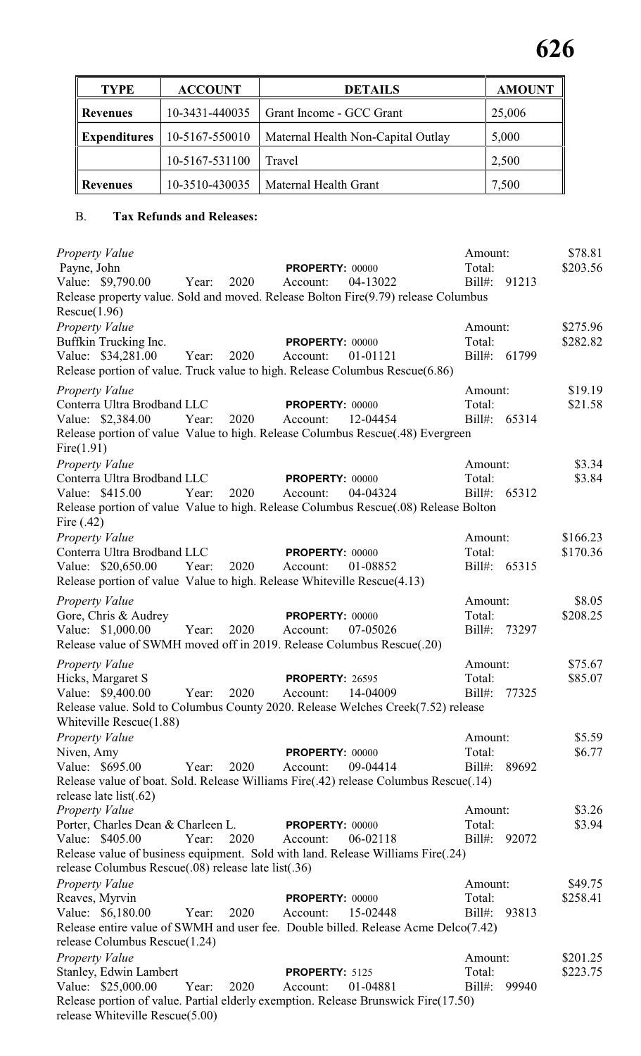| <b>TYPE</b>         | <b>ACCOUNT</b> | <b>DETAILS</b>                     | <b>AMOUNT</b> |
|---------------------|----------------|------------------------------------|---------------|
| <b>Revenues</b>     | 10-3431-440035 | Grant Income - GCC Grant           | 25,006        |
| <b>Expenditures</b> | 10-5167-550010 | Maternal Health Non-Capital Outlay | 5,000         |
|                     | 10-5167-531100 | Travel                             | 2,500         |
| Revenues            | 10-3510-430035 | Maternal Health Grant              | 7,500         |

# B. **Tax Refunds and Releases:**

| <b>Property Value</b><br>Payne, John<br>Value: \$9,790.00<br>Release property value. Sold and moved. Release Bolton Fire(9.79) release Columbus<br>Rescue(1.96)                                                          | Year: | 2020 | <b>PROPERTY: 00000</b><br>Account: | 04-13022 | Amount:<br>Total:<br>$Bill#$ :    | 91213 | \$78.81<br>\$203.56  |
|--------------------------------------------------------------------------------------------------------------------------------------------------------------------------------------------------------------------------|-------|------|------------------------------------|----------|-----------------------------------|-------|----------------------|
| Property Value<br>Buffkin Trucking Inc.<br>Value: \$34,281.00<br>Release portion of value. Truck value to high. Release Columbus Rescue(6.86)                                                                            | Year: | 2020 | PROPERTY: 00000<br>Account:        | 01-01121 | Amount:<br>Total:<br>Bill#: 61799 |       | \$275.96<br>\$282.82 |
| <b>Property Value</b><br>Conterra Ultra Brodband LLC<br>Value: \$2,384.00<br>Release portion of value Value to high. Release Columbus Rescue(.48) Evergreen<br>Fire(1.91)                                                | Year: | 2020 | <b>PROPERTY: 00000</b><br>Account: | 12-04454 | Amount:<br>Total:<br>Bill#: 65314 |       | \$19.19<br>\$21.58   |
| <b>Property Value</b><br>Conterra Ultra Brodband LLC<br>Value: \$415.00<br>Release portion of value Value to high. Release Columbus Rescue(.08) Release Bolton<br>Fire $(.42)$                                           | Year: | 2020 | <b>PROPERTY: 00000</b><br>Account: | 04-04324 | Amount:<br>Total:<br>Bill#: 65312 |       | \$3.34<br>\$3.84     |
| <b>Property Value</b><br>Conterra Ultra Brodband LLC<br>Value: \$20,650.00<br>Release portion of value Value to high. Release Whiteville Rescue(4.13)                                                                    | Year: | 2020 | <b>PROPERTY: 00000</b><br>Account: | 01-08852 | Amount:<br>Total:<br>Bill#: 65315 |       | \$166.23<br>\$170.36 |
| <b>Property Value</b><br>Gore, Chris & Audrey<br>Value: \$1,000.00<br>Release value of SWMH moved off in 2019. Release Columbus Rescue(.20)                                                                              | Year: | 2020 | <b>PROPERTY: 00000</b><br>Account: | 07-05026 | Amount:<br>Total:<br>Bill#: 73297 |       | \$8.05<br>\$208.25   |
| <b>Property Value</b><br>Hicks, Margaret S<br>Value: \$9,400.00<br>Release value. Sold to Columbus County 2020. Release Welches Creek(7.52) release<br>Whiteville Rescue(1.88)                                           | Year: | 2020 | <b>PROPERTY: 26595</b><br>Account: | 14-04009 | Amount:<br>Total:<br>$Bill#$ :    | 77325 | \$75.67<br>\$85.07   |
| Property Value<br>Niven, Amy<br>Value: \$695.00<br>Release value of boat. Sold. Release Williams Fire(.42) release Columbus Rescue(.14)<br>release late list $(.62)$                                                     | Year: | 2020 | <b>PROPERTY: 00000</b><br>Account: | 09-04414 | Amount:<br>Total:<br>$Bill#$ :    | 89692 | \$5.59<br>\$6.77     |
| <b>Property Value</b><br>Porter, Charles Dean & Charleen L.<br>Value: \$405.00<br>Release value of business equipment. Sold with land. Release Williams Fire(.24)<br>release Columbus Rescue(.08) release late list(.36) | Year: | 2020 | PROPERTY: 00000<br>Account:        | 06-02118 | Amount:<br>Total:<br>$Bill#$ :    | 92072 | \$3.26<br>\$3.94     |
| <b>Property Value</b><br>Reaves, Myrvin<br>Value: \$6,180.00<br>Release entire value of SWMH and user fee. Double billed. Release Acme Delco(7.42)<br>release Columbus Rescue(1.24)                                      | Year: | 2020 | PROPERTY: 00000<br>Account:        | 15-02448 | Amount:<br>Total:<br>$Bill#$ :    | 93813 | \$49.75<br>\$258.41  |
| <b>Property Value</b><br>Stanley, Edwin Lambert<br>Value: \$25,000.00<br>Release portion of value. Partial elderly exemption. Release Brunswick Fire(17.50)<br>release Whiteville Rescue(5.00)                           | Year: | 2020 | PROPERTY: 5125<br>Account:         | 01-04881 | Amount:<br>Total:<br>$Bill#$ :    | 99940 | \$201.25<br>\$223.75 |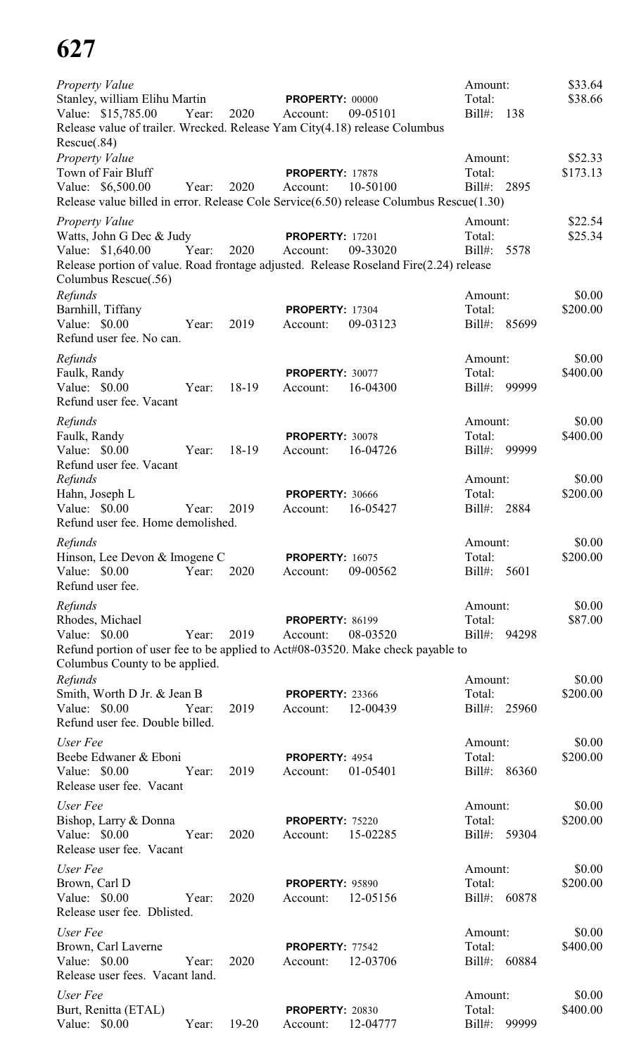| Property Value<br>Stanley, william Elihu Martin                                                                                    |       |           | <b>PROPERTY: 00000</b>             |          | Amount:<br>Total:                      | \$33.64<br>\$38.66  |
|------------------------------------------------------------------------------------------------------------------------------------|-------|-----------|------------------------------------|----------|----------------------------------------|---------------------|
| Value: \$15,785.00<br>Release value of trailer. Wrecked. Release Yam City(4.18) release Columbus<br>Rescue(.84)                    | Year: | 2020      | Account:                           | 09-05101 | $Bill#$ :<br>138                       |                     |
| Property Value<br>Town of Fair Bluff<br>Value: \$6,500.00                                                                          | Year: | 2020      | <b>PROPERTY: 17878</b><br>Account: | 10-50100 | Amount:<br>Total:<br>$Bill#$ :<br>2895 | \$52.33<br>\$173.13 |
| Release value billed in error. Release Cole Service(6.50) release Columbus Rescue(1.30)                                            |       |           |                                    |          |                                        |                     |
| <b>Property Value</b><br>Watts, John G Dec & Judy                                                                                  |       |           | <b>PROPERTY: 17201</b>             |          | Amount:<br>Total:                      | \$22.54<br>\$25.34  |
| Value: \$1,640.00<br>Release portion of value. Road frontage adjusted. Release Roseland Fire(2.24) release<br>Columbus Rescue(.56) | Year: | 2020      | Account:                           | 09-33020 | 5578<br>$Bill#$ :                      |                     |
| Refunds                                                                                                                            |       |           |                                    |          | Amount:                                | \$0.00              |
| Barnhill, Tiffany<br>Value: \$0.00<br>Refund user fee. No can.                                                                     | Year: | 2019      | <b>PROPERTY: 17304</b><br>Account: | 09-03123 | Total:<br>$Bill#$ :<br>85699           | \$200.00            |
| Refunds                                                                                                                            |       |           |                                    |          | Amount:                                | \$0.00              |
| Faulk, Randy                                                                                                                       |       |           | PROPERTY: 30077                    |          | Total:                                 | \$400.00            |
| Value: \$0.00<br>Refund user fee. Vacant                                                                                           | Year: | 18-19     | Account:                           | 16-04300 | $Bill#$ :<br>99999                     |                     |
| Refunds                                                                                                                            |       |           |                                    |          | Amount:                                | \$0.00              |
| Faulk, Randy                                                                                                                       |       |           | PROPERTY: 30078                    |          | Total:                                 | \$400.00            |
| Value: \$0.00<br>Refund user fee. Vacant                                                                                           | Year: | 18-19     | Account:                           | 16-04726 | $Bill#$ :<br>99999                     |                     |
| Refunds                                                                                                                            |       |           |                                    |          | Amount:                                | \$0.00              |
| Hahn, Joseph L<br>Value: \$0.00                                                                                                    | Year: | 2019      | <b>PROPERTY: 30666</b><br>Account: | 16-05427 | Total:<br>$Bill#$ :<br>2884            | \$200.00            |
| Refund user fee. Home demolished.                                                                                                  |       |           |                                    |          |                                        |                     |
| Refunds                                                                                                                            |       |           |                                    |          | Amount:                                | \$0.00              |
| Hinson, Lee Devon & Imogene C<br>Value: \$0.00                                                                                     | Year: | 2020      | <b>PROPERTY: 16075</b><br>Account: | 09-00562 | Total:<br>$Bill#$ :<br>5601            | \$200.00            |
| Refund user fee.                                                                                                                   |       |           |                                    |          |                                        |                     |
| Refunds                                                                                                                            |       |           |                                    |          | Amount:                                | \$0.00              |
| Rhodes, Michael                                                                                                                    |       |           | <b>PROPERTY: 86199</b>             |          | Total:                                 | \$87.00             |
| Value: \$0.00<br>Refund portion of user fee to be applied to Act#08-03520. Make check payable to                                   | Year: | 2019      | Account:                           | 08-03520 | $Bill#$ :<br>94298                     |                     |
| Columbus County to be applied.                                                                                                     |       |           |                                    |          |                                        |                     |
| Refunds                                                                                                                            |       |           |                                    |          | Amount:                                | \$0.00              |
| Smith, Worth D Jr. & Jean B                                                                                                        | Year: | 2019      | <b>PROPERTY: 23366</b>             | 12-00439 | Total:<br>$Bill#$ :<br>25960           | \$200.00            |
| Value: \$0.00<br>Refund user fee. Double billed.                                                                                   |       |           | Account:                           |          |                                        |                     |
| User Fee                                                                                                                           |       |           |                                    |          | Amount:                                | \$0.00              |
| Beebe Edwaner & Eboni                                                                                                              |       |           | PROPERTY: 4954                     |          | Total:                                 | \$200.00            |
| Value: \$0.00<br>Release user fee. Vacant                                                                                          | Year: | 2019      | Account:                           | 01-05401 | $Bill#$ :<br>86360                     |                     |
| User Fee                                                                                                                           |       |           |                                    |          | Amount:                                | \$0.00              |
| Bishop, Larry & Donna                                                                                                              |       |           | <b>PROPERTY: 75220</b>             |          | Total:                                 | \$200.00            |
| Value: \$0.00<br>Release user fee. Vacant                                                                                          | Year: | 2020      | Account:                           | 15-02285 | $Bill#$ :<br>59304                     |                     |
| User Fee                                                                                                                           |       |           |                                    |          | Amount:                                | \$0.00              |
| Brown, Carl D                                                                                                                      |       |           | <b>PROPERTY: 95890</b>             |          | Total:                                 | \$200.00            |
| Value: $$0.00$<br>Release user fee. Dblisted.                                                                                      | Year: | 2020      | Account:                           | 12-05156 | $Bill#$ :<br>60878                     |                     |
| User Fee                                                                                                                           |       |           |                                    |          | Amount:                                | \$0.00              |
| Brown, Carl Laverne                                                                                                                |       |           | PROPERTY: 77542                    |          | Total:                                 | \$400.00            |
| Value: \$0.00<br>Release user fees. Vacant land.                                                                                   | Year: | 2020      | Account:                           | 12-03706 | 60884<br>$Bill#$ :                     |                     |
| User Fee                                                                                                                           |       |           |                                    |          | Amount:                                | \$0.00              |
| Burt, Renitta (ETAL)<br>Value: \$0.00                                                                                              | Year: | $19 - 20$ | <b>PROPERTY: 20830</b><br>Account: | 12-04777 | Total:<br>Bill#: 99999                 | \$400.00            |
|                                                                                                                                    |       |           |                                    |          |                                        |                     |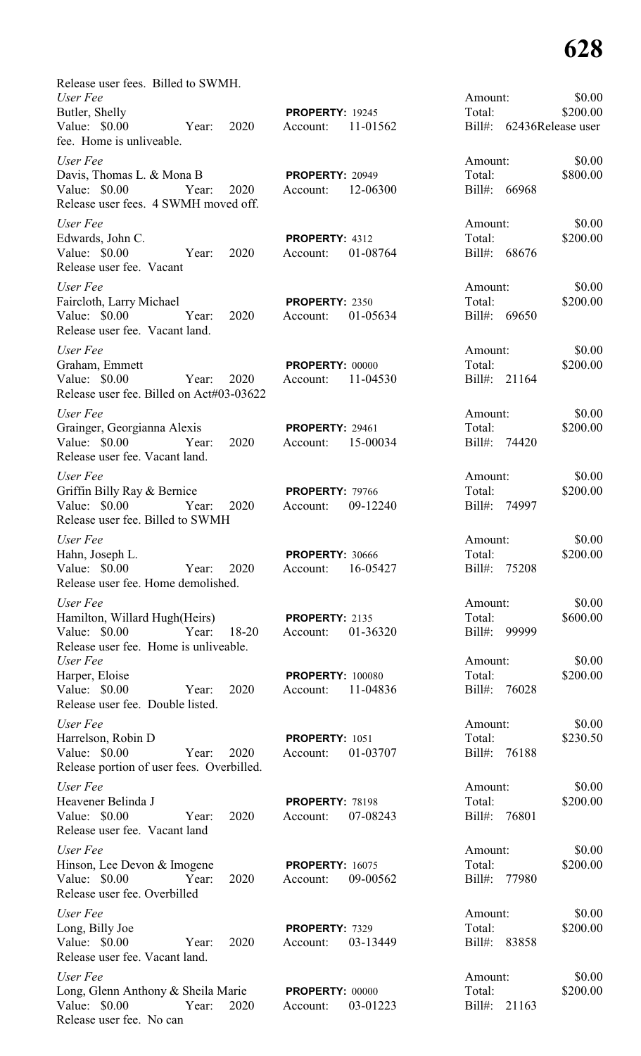| Release user fees. Billed to SWMH.                                   |                         |                            |          |
|----------------------------------------------------------------------|-------------------------|----------------------------|----------|
| User Fee                                                             |                         | Amount:                    | \$0.00   |
| Butler, Shelly                                                       | <b>PROPERTY: 19245</b>  | Total:                     | \$200.00 |
| Value: \$0.00<br>2020<br>Year:<br>fee. Home is unliveable.           | 11-01562<br>Account:    | Bill#: 62436Release user   |          |
| User Fee                                                             |                         | Amount:                    | \$0.00   |
| Davis, Thomas L. & Mona B                                            | <b>PROPERTY: 20949</b>  | Total:                     | \$800.00 |
| Value: $$0.00$<br>2020<br>Year:                                      | 12-06300<br>Account:    | Bill#: 66968               |          |
| Release user fees. 4 SWMH moved off.                                 |                         |                            |          |
| User Fee                                                             |                         | Amount:                    | \$0.00   |
| Edwards, John C.                                                     | PROPERTY: 4312          | Total:                     | \$200.00 |
| Value: \$0.00<br>2020<br>Year:<br>Release user fee. Vacant           | 01-08764<br>Account:    | Bill#: 68676               |          |
| User Fee                                                             |                         | Amount:                    | \$0.00   |
| Faircloth, Larry Michael                                             | PROPERTY: 2350          | Total:                     | \$200.00 |
| Value: $$0.00$<br>Year:<br>2020                                      | 01-05634<br>Account:    | $\text{Bill}\#$ :<br>69650 |          |
| Release user fee. Vacant land.                                       |                         |                            |          |
| User Fee                                                             |                         | Amount:                    | \$0.00   |
| Graham, Emmett<br>Value: \$0.00                                      | <b>PROPERTY: 00000</b>  | Total:<br>21164            | \$200.00 |
| Year:<br>2020<br>Release user fee. Billed on Act#03-03622            | 11-04530<br>Account:    | $Bill#$ :                  |          |
| User Fee                                                             |                         | Amount:                    | \$0.00   |
| Grainger, Georgianna Alexis                                          | <b>PROPERTY: 29461</b>  | Total:                     | \$200.00 |
| Value: \$0.00<br>2020<br>Year:                                       | 15-00034<br>Account:    | $Bill#$ :<br>74420         |          |
| Release user fee. Vacant land.                                       |                         |                            |          |
| User Fee                                                             |                         | Amount:                    | \$0.00   |
| Griffin Billy Ray & Bernice                                          | <b>PROPERTY: 79766</b>  | Total:                     | \$200.00 |
| Value: \$0.00<br>2020<br>Year:<br>Release user fee. Billed to SWMH   | 09-12240<br>Account:    | $Bill#$ :<br>74997         |          |
| User Fee                                                             |                         | Amount:                    | \$0.00   |
| Hahn, Joseph L.                                                      | <b>PROPERTY: 30666</b>  | Total:                     | \$200.00 |
| Value: \$0.00<br>2020<br>Year:<br>Release user fee. Home demolished. | 16-05427<br>Account:    | $Bill#$ :<br>75208         |          |
| User Fee                                                             |                         |                            | \$0.00   |
| Hamilton, Willard Hugh(Heirs)                                        | PROPERTY: 2135          | Amount:<br>Total:          | \$600.00 |
| Year:<br>18-20<br>Value: \$0.00                                      | 01-36320<br>Account:    | $Bill#$ :<br>99999         |          |
| Release user fee. Home is unliveable.                                |                         |                            |          |
| User Fee                                                             |                         | Amount:                    | \$0.00   |
| Harper, Eloise                                                       | <b>PROPERTY: 100080</b> | Total:                     | \$200.00 |
| 2020<br>Value: \$0.00<br>Year:                                       | 11-04836<br>Account:    | Bill#: 76028               |          |
| Release user fee. Double listed.                                     |                         |                            |          |
| User Fee                                                             |                         | Amount:                    | \$0.00   |
| Harrelson, Robin D                                                   | PROPERTY: 1051          | Total:                     | \$230.50 |
| Value: \$0.00<br>2020<br>Year:                                       | 01-03707<br>Account:    | Bill#: 76188               |          |
| Release portion of user fees. Overbilled.                            |                         |                            |          |
| User Fee                                                             |                         | Amount:                    | \$0.00   |
| Heavener Belinda J                                                   | <b>PROPERTY: 78198</b>  | Total:                     | \$200.00 |
| Value: \$0.00<br>2020<br>Year:<br>Release user fee. Vacant land      | 07-08243<br>Account:    | Bill#: 76801               |          |
| User Fee                                                             |                         | Amount:                    | \$0.00   |
| Hinson, Lee Devon & Imogene                                          | <b>PROPERTY: 16075</b>  | Total:                     | \$200.00 |
| Value: \$0.00<br>Year:<br>2020                                       | 09-00562<br>Account:    | Bill#: 77980               |          |
| Release user fee. Overbilled                                         |                         |                            |          |
| User Fee                                                             |                         | Amount:                    | \$0.00   |
| Long, Billy Joe                                                      | PROPERTY: 7329          | Total:                     | \$200.00 |
| Value: \$0.00<br>2020<br>Year:                                       | 03-13449<br>Account:    | Bill#: 83858               |          |
| Release user fee. Vacant land.                                       |                         |                            |          |
| User Fee                                                             |                         | Amount:                    | \$0.00   |
| Long, Glenn Anthony & Sheila Marie                                   | <b>PROPERTY: 00000</b>  | Total:                     | \$200.00 |
| Value: \$0.00<br>Year:<br>2020                                       | 03-01223<br>Account:    | 21163<br>$Bill#$ :         |          |
| Release user fee. No can                                             |                         |                            |          |

| лшоши.    |                   | ov.vv    |
|-----------|-------------------|----------|
| Fotal:    |                   | \$200.00 |
| $3i11#$ : | 62436Release user |          |
|           |                   |          |
| Amount:   |                   | \$0.00   |
| Fotal:    |                   | \$800.00 |
|           |                   |          |
| 3ill#:    | 66968             |          |
|           |                   |          |
| Amount:   |                   | \$0.00   |
| Fotal:    |                   | \$200.00 |
|           | Bill#: 68676      |          |
|           |                   |          |
|           |                   |          |
| Amount:   |                   | \$0.00   |
| [otal:    |                   | \$200.00 |
|           | Bill#: 69650      |          |
|           |                   |          |
|           |                   |          |
| Amount:   |                   | \$0.00   |
| [otal:    |                   | \$200.00 |
|           | Bill#: 21164      |          |
|           |                   |          |
|           |                   |          |
| Amount:   |                   | \$0.00   |
| Total:    |                   | \$200.00 |
| 3i11#:    | 74420             |          |
|           |                   |          |
|           |                   |          |
| Amount:   |                   | \$0.00   |
| Total:    |                   | \$200.00 |
| 3ill#:    | 74997             |          |
|           |                   |          |
|           |                   |          |
| Amount:   |                   | \$0.00   |
| [otal:    |                   | \$200.00 |
|           | Bill#: 75208      |          |
|           |                   |          |
| Amount:   |                   | \$0.00   |
| Total:    |                   | \$600.00 |
|           |                   |          |
|           | Bill#: 99999      |          |
|           |                   |          |
| Amount:   |                   | \$0.00   |
| Total:    |                   | \$200.00 |
|           | Bill#: 76028      |          |
|           |                   |          |
|           |                   |          |
| Amount:   |                   | \$0.00   |
| [otal:    |                   | \$230.50 |
|           | Bill#: 76188      |          |
|           |                   |          |
|           |                   |          |
| Amount:   |                   | \$0.00   |
| Total:    |                   | \$200.00 |
|           | 3ill#: 76801      |          |
|           |                   |          |
|           |                   | \$0.00   |
| Amount:   |                   |          |
| [otal:    |                   | \$200.00 |
|           | Bill#: 77980      |          |
|           |                   |          |
| Amount:   |                   | \$0.00   |
| [otal:    |                   | \$200.00 |
|           |                   |          |
|           | Bill#: 83858      |          |
|           |                   |          |

| .mount: |               | \$0.00   |
|---------|---------------|----------|
| otal:   |               | \$200.00 |
|         | ill#: $21163$ |          |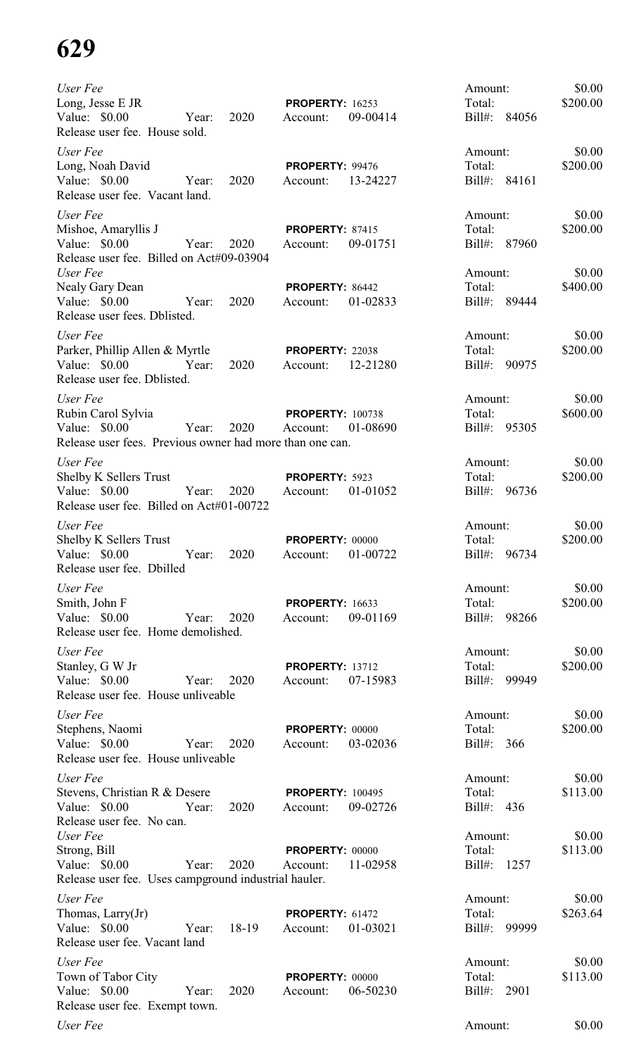| User Fee<br>Long, Jesse E JR<br>Value: $$0.00$<br>Release user fee. House sold.                              | Year:      | 2020  | <b>PROPERTY: 16253</b><br>Account:  | 09-00414 | Amount:<br>Total:<br>Bill#: 84056 | \$0.00<br>\$200.00 |
|--------------------------------------------------------------------------------------------------------------|------------|-------|-------------------------------------|----------|-----------------------------------|--------------------|
| User Fee<br>Long, Noah David<br>Value: $$0.00$<br>Release user fee. Vacant land.                             | Year:      | 2020  | PROPERTY: 99476<br>Account:         | 13-24227 | Amount:<br>Total:<br>Bill#: 84161 | \$0.00<br>\$200.00 |
| User Fee<br>Mishoe, Amaryllis J<br>Value: \$0.00<br>Release user fee. Billed on Act#09-03904                 | Year:      | 2020  | PROPERTY: 87415<br>Account:         | 09-01751 | Amount:<br>Total:<br>Bill#: 87960 | \$0.00<br>\$200.00 |
| User Fee<br>Nealy Gary Dean<br>Value: $$0.00$<br>Release user fees. Dblisted.                                | Year:      | 2020  | PROPERTY: 86442<br>Account:         | 01-02833 | Amount:<br>Total:<br>Bill#: 89444 | \$0.00<br>\$400.00 |
| User Fee<br>Parker, Phillip Allen & Myrtle<br>Value: \$0.00<br>Release user fee. Dblisted.                   | Year:      | 2020  | <b>PROPERTY: 22038</b><br>Account:  | 12-21280 | Amount:<br>Total:<br>Bill#: 90975 | \$0.00<br>\$200.00 |
| User Fee<br>Rubin Carol Sylvia<br>Value: $$0.00$<br>Release user fees. Previous owner had more than one can. | Year: 2020 |       | <b>PROPERTY: 100738</b><br>Account: | 01-08690 | Amount:<br>Total:<br>Bill#: 95305 | \$0.00<br>\$600.00 |
| User Fee<br><b>Shelby K Sellers Trust</b><br>Value: $$0.00$<br>Release user fee. Billed on Act#01-00722      | Year:      | 2020  | PROPERTY: 5923<br>Account:          | 01-01052 | Amount:<br>Total:<br>Bill#: 96736 | \$0.00<br>\$200.00 |
| User Fee<br>Shelby K Sellers Trust<br>Value: \$0.00<br>Release user fee. Dbilled                             | Year: 2020 |       | PROPERTY: 00000<br>Account:         | 01-00722 | Amount:<br>Total:<br>Bill#: 96734 | \$0.00<br>\$200.00 |
| User Fee<br>Smith, John F<br>Value: \$0.00<br>Release user fee. Home demolished.                             | Year:      | 2020  | <b>PROPERTY: 16633</b><br>Account:  | 09-01169 | Amount:<br>Total:<br>Bill#: 98266 | \$0.00<br>\$200.00 |
| User Fee<br>Stanley, G W Jr<br>Value: \$0.00<br>Release user fee. House unliveable                           | Year:      | 2020  | <b>PROPERTY: 13712</b><br>Account:  | 07-15983 | Amount:<br>Total:<br>Bill#: 99949 | \$0.00<br>\$200.00 |
| User Fee<br>Stephens, Naomi<br>Value: $$0.00$<br>Release user fee. House unliveable                          | Year:      | 2020  | <b>PROPERTY: 00000</b><br>Account:  | 03-02036 | Amount:<br>Total:<br>Bill#: 366   | \$0.00<br>\$200.00 |
| User Fee<br>Stevens, Christian R & Desere<br>Value: $$0.00$<br>Release user fee. No can.                     | Year:      | 2020  | <b>PROPERTY: 100495</b><br>Account: | 09-02726 | Amount:<br>Total:<br>Bill#: 436   | \$0.00<br>\$113.00 |
| User Fee<br>Strong, Bill<br>Value: $$0.00$<br>Release user fee. Uses campground industrial hauler.           | Year:      | 2020  | <b>PROPERTY: 00000</b><br>Account:  | 11-02958 | Amount:<br>Total:<br>Bill#: 1257  | \$0.00<br>\$113.00 |
| User Fee<br>Thomas, Larry(Jr)<br>Value: \$0.00<br>Release user fee. Vacant land                              | Year:      | 18-19 | <b>PROPERTY: 61472</b><br>Account:  | 01-03021 | Amount:<br>Total:<br>Bill#: 99999 | \$0.00<br>\$263.64 |
| User Fee<br>Town of Tabor City<br>Value: \$0.00<br>Release user fee. Exempt town.                            | Year:      | 2020  | <b>PROPERTY: 00000</b><br>Account:  | 06-50230 | Amount:<br>Total:<br>Bill#: 2901  | \$0.00<br>\$113.00 |
| User Fee                                                                                                     |            |       |                                     |          | Amount:                           | \$0.00             |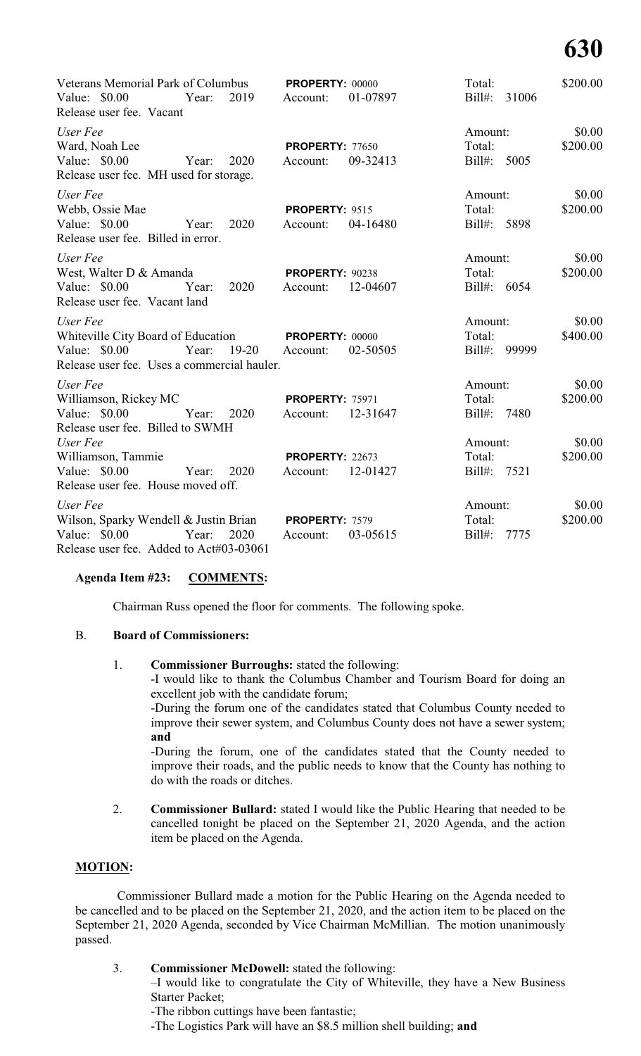| Veterans Memorial Park of Columbus PROPERTY: 00000<br>Value: \$0.00<br>Release user fee. Vacant                                | Year: | 2019           | Account:                                    | 01-07897 | Total:<br>Bill#: 31006            | \$200.00           |
|--------------------------------------------------------------------------------------------------------------------------------|-------|----------------|---------------------------------------------|----------|-----------------------------------|--------------------|
| User Fee<br>Ward, Noah Lee<br>Value: \$0.00<br>Year:<br>Release user fee. MH used for storage.                                 |       | 2020           | <b>PROPERTY: 77650</b><br>Account:          | 09-32413 | Amount:<br>Total:<br>Bill#: 5005  | \$0.00<br>\$200.00 |
| User Fee<br>Webb, Ossie Mae<br>Value: \$0.00<br>Release user fee. Billed in error.                                             | Year: | 2020           | PROPERTY: 9515<br>Account:                  | 04-16480 | Amount:<br>Total:<br>Bill#: 5898  | \$0.00<br>\$200.00 |
| User Fee<br>West, Walter D & Amanda<br>Value: \$0.00<br>Release user fee. Vacant land                                          | Year: | 2020           | <b>PROPERTY: 90238</b><br>Account:          | 12-04607 | Amount:<br>Total:<br>Bill#: 6054  | \$0.00<br>\$200.00 |
| User Fee<br>Whiteville City Board of Education PROPERTY: 00000<br>Value: \$0.00<br>Release user fee. Uses a commercial hauler. | Year: | 19-20 Account: |                                             | 02-50505 | Amount:<br>Total:<br>Bill#: 99999 | \$0.00<br>\$400.00 |
| User Fee<br>Williamson, Rickey MC<br>Value: $$0.00$<br>Release user fee. Billed to SWMH                                        | Year: | 2020           | <b>PROPERTY: 75971</b><br>Account:          | 12-31647 | Amount:<br>Total:<br>Bill#: 7480  | \$0.00<br>\$200.00 |
| User Fee<br>Williamson, Tammie<br>Value: \$0.00 Year:<br>Release user fee. House moved off.                                    |       | 2020           | <b>PROPERTY: 22673</b><br>Account: 12-01427 |          | Amount:<br>Total:<br>Bill#: 7521  | \$0.00<br>\$200.00 |
| User Fee<br>Wilson, Sparky Wendell & Justin Brian PROPERTY: 7579<br>Value: \$0.00<br>Release user fee. Added to Act#03-03061   | Year: | 2020           | Account:                                    | 03-05615 | Amount:<br>Total:<br>Bill#: 7775  | \$0.00<br>\$200.00 |

#### **Agenda Item #23: COMMENTS:**

Chairman Russ opened the floor for comments. The following spoke.

### B. **Board of Commissioners:**

### 1. **Commissioner Burroughs:** stated the following:

-I would like to thank the Columbus Chamber and Tourism Board for doing an excellent job with the candidate forum;

-During the forum one of the candidates stated that Columbus County needed to improve their sewer system, and Columbus County does not have a sewer system; **and**

-During the forum, one of the candidates stated that the County needed to improve their roads, and the public needs to know that the County has nothing to do with the roads or ditches.

2. **Commissioner Bullard:** stated I would like the Public Hearing that needed to be cancelled tonight be placed on the September 21, 2020 Agenda, and the action item be placed on the Agenda.

# **MOTION:**

Commissioner Bullard made a motion for the Public Hearing on the Agenda needed to be cancelled and to be placed on the September 21, 2020, and the action item to be placed on the September 21, 2020 Agenda, seconded by Vice Chairman McMillian. The motion unanimously passed.

| <b>Commissioner McDowell:</b> stated the following:                            |
|--------------------------------------------------------------------------------|
| -I would like to congratulate the City of Whiteville, they have a New Business |
| <b>Starter Packet:</b>                                                         |
| -The ribbon cuttings have been fantastic;                                      |
| -The Logistics Park will have an \$8.5 million shell building; and             |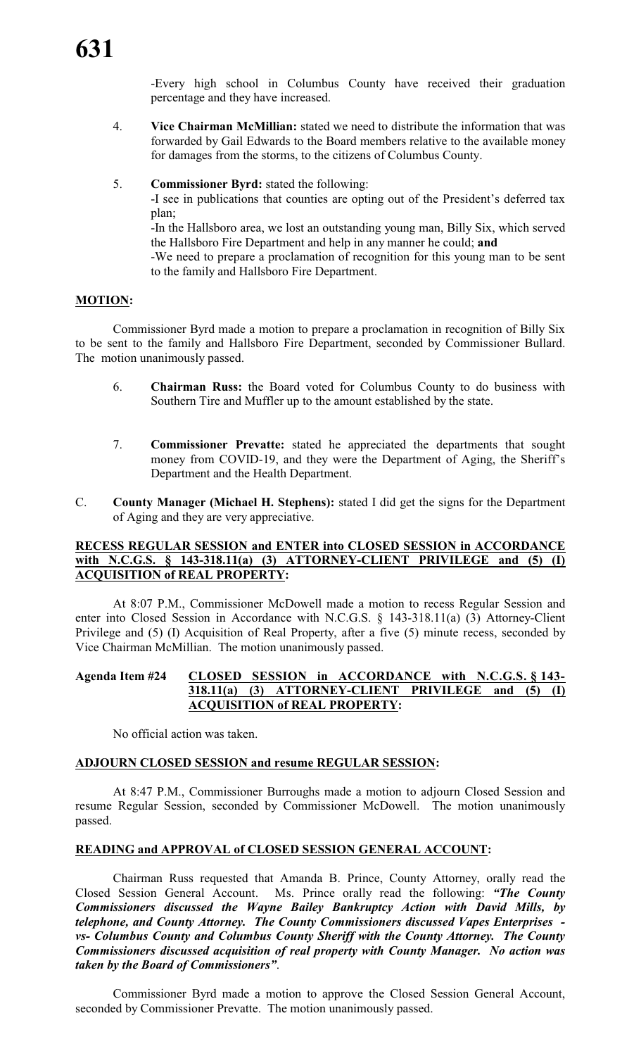-Every high school in Columbus County have received their graduation percentage and they have increased.

- 4. **Vice Chairman McMillian:** stated we need to distribute the information that was forwarded by Gail Edwards to the Board members relative to the available money for damages from the storms, to the citizens of Columbus County.
- 5. **Commissioner Byrd:** stated the following:

-I see in publications that counties are opting out of the President's deferred tax plan;

-In the Hallsboro area, we lost an outstanding young man, Billy Six, which served the Hallsboro Fire Department and help in any manner he could; **and**

-We need to prepare a proclamation of recognition for this young man to be sent to the family and Hallsboro Fire Department.

#### **MOTION:**

Commissioner Byrd made a motion to prepare a proclamation in recognition of Billy Six to be sent to the family and Hallsboro Fire Department, seconded by Commissioner Bullard. The motion unanimously passed.

- 6. **Chairman Russ:** the Board voted for Columbus County to do business with Southern Tire and Muffler up to the amount established by the state.
- 7. **Commissioner Prevatte:** stated he appreciated the departments that sought money from COVID-19, and they were the Department of Aging, the Sheriff's Department and the Health Department.
- C. **County Manager (Michael H. Stephens):** stated I did get the signs for the Department of Aging and they are very appreciative.

#### **RECESS REGULAR SESSION and ENTER into CLOSED SESSION in ACCORDANCE with N.C.G.S. § 143-318.11(a) (3) ATTORNEY-CLIENT PRIVILEGE and (5) (I) ACQUISITION of REAL PROPERTY:**

At 8:07 P.M., Commissioner McDowell made a motion to recess Regular Session and enter into Closed Session in Accordance with N.C.G.S. § 143-318.11(a) (3) Attorney-Client Privilege and (5) (I) Acquisition of Real Property, after a five (5) minute recess, seconded by Vice Chairman McMillian. The motion unanimously passed.

## **Agenda Item #24 CLOSED SESSION in ACCORDANCE with N.C.G.S. § 143- 318.11(a) (3) ATTORNEY-CLIENT PRIVILEGE and (5) (I) ACQUISITION of REAL PROPERTY:**

No official action was taken.

# **ADJOURN CLOSED SESSION and resume REGULAR SESSION:**

At 8:47 P.M., Commissioner Burroughs made a motion to adjourn Closed Session and resume Regular Session, seconded by Commissioner McDowell. The motion unanimously passed.

#### **READING and APPROVAL of CLOSED SESSION GENERAL ACCOUNT:**

Chairman Russ requested that Amanda B. Prince, County Attorney, orally read the Closed Session General Account. Ms. Prince orally read the following: *"The County Commissioners discussed the Wayne Bailey Bankruptcy Action with David Mills, by telephone, and County Attorney. The County Commissioners discussed Vapes Enterprises vs- Columbus County and Columbus County Sheriff with the County Attorney. The County Commissioners discussed acquisition of real property with County Manager. No action was taken by the Board of Commissioners"*.

Commissioner Byrd made a motion to approve the Closed Session General Account, seconded by Commissioner Prevatte. The motion unanimously passed.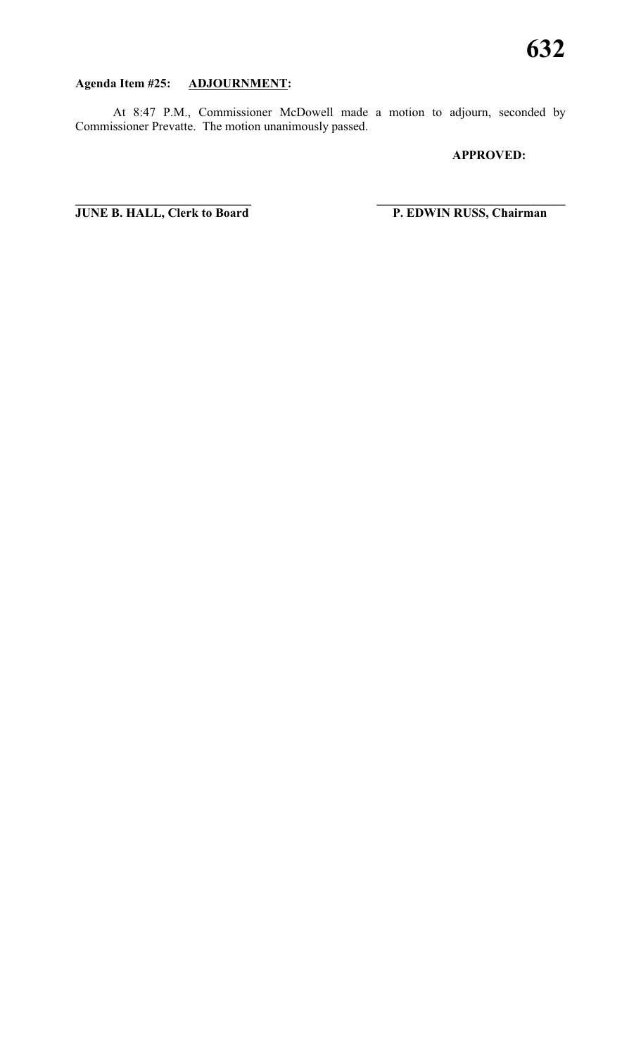# **Agenda Item #25: ADJOURNMENT:**

At 8:47 P.M., Commissioner McDowell made a motion to adjourn, seconded by Commissioner Prevatte. The motion unanimously passed.

**\_\_\_\_\_\_\_\_\_\_\_\_\_\_\_\_\_\_\_\_\_\_\_\_\_\_\_\_ \_\_\_\_\_\_\_\_\_\_\_\_\_\_\_\_\_\_\_\_\_\_\_\_\_\_\_\_\_\_**

#### **APPROVED:**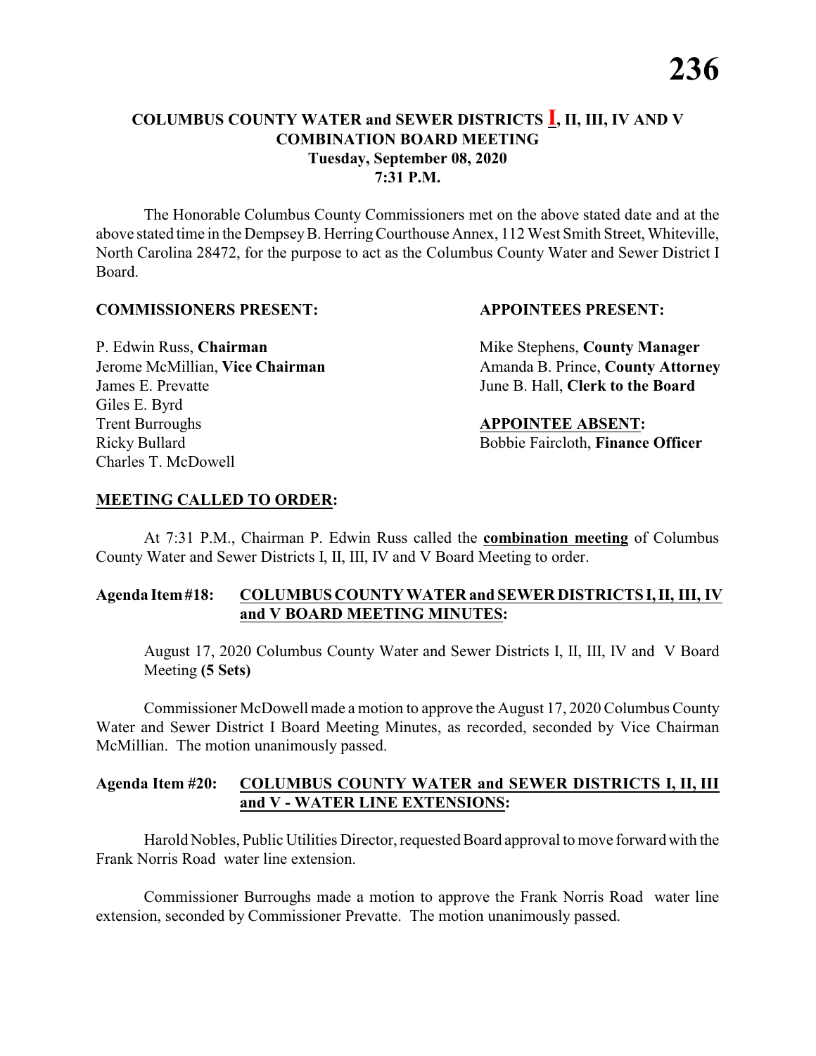The Honorable Columbus County Commissioners met on the above stated date and at the above stated time in the DempseyB. HerringCourthouse Annex, 112 West Smith Street, Whiteville, North Carolina 28472, for the purpose to act as the Columbus County Water and Sewer District I Board.

#### **COMMISSIONERS PRESENT: APPOINTEES PRESENT:**

James E. Prevatte June B. Hall, **Clerk to the Board** Giles E. Byrd **Trent Burroughs APPOINTEE ABSENT:** Ricky Bullard **Bobbie Faircloth, Finance Officer** Charles T. McDowell

P. Edwin Russ, **Chairman** Mike Stephens, **County Manager** Jerome McMillian, Vice Chairman Amanda B. Prince, County Attorney

# **MEETING CALLED TO ORDER:**

At 7:31 P.M., Chairman P. Edwin Russ called the **combination meeting** of Columbus County Water and Sewer Districts I, II, III, IV and V Board Meeting to order.

### **Agenda Item#18: COLUMBUS COUNTY WATER and SEWER DISTRICTS I,II, III, IV and V BOARD MEETING MINUTES:**

August 17, 2020 Columbus County Water and Sewer Districts I, II, III, IV and V Board Meeting **(5 Sets)**

Commissioner McDowell made a motion to approve the August 17, 2020 Columbus County Water and Sewer District I Board Meeting Minutes, as recorded, seconded by Vice Chairman McMillian. The motion unanimously passed.

### **Agenda Item #20: COLUMBUS COUNTY WATER and SEWER DISTRICTS I, II, III and V - WATER LINE EXTENSIONS:**

Harold Nobles, Public Utilities Director, requested Board approval to move forward with the Frank Norris Road water line extension.

Commissioner Burroughs made a motion to approve the Frank Norris Road water line extension, seconded by Commissioner Prevatte. The motion unanimously passed.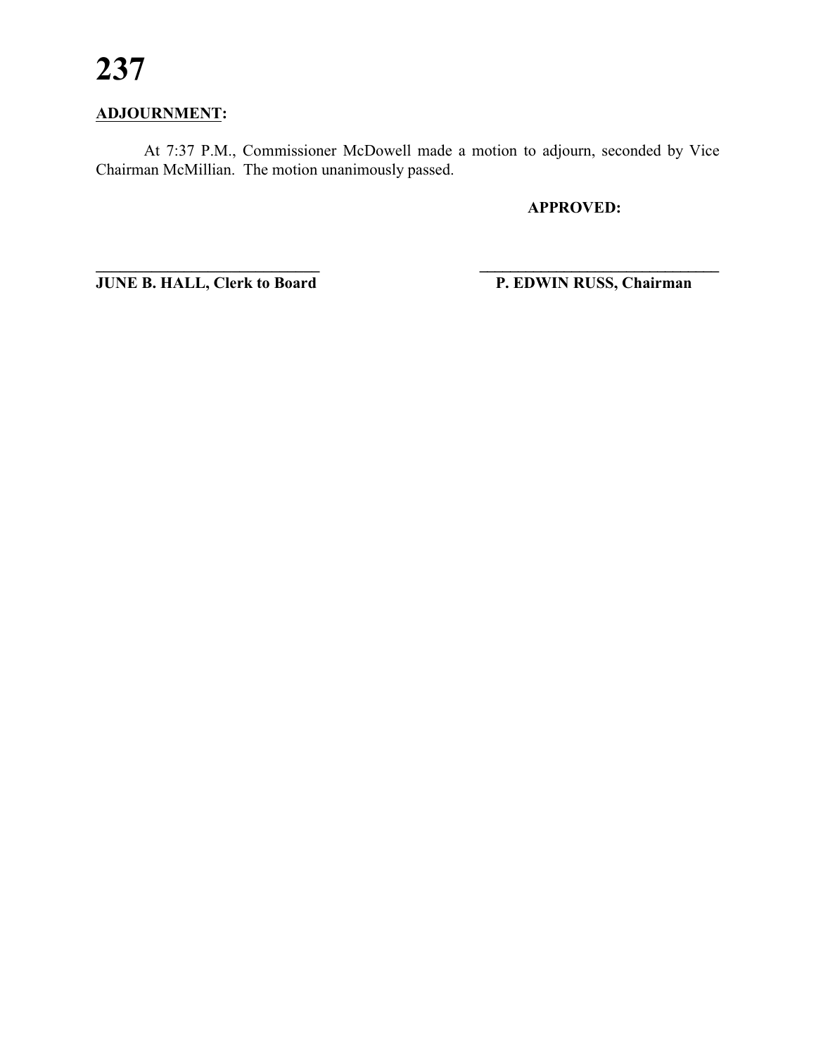# **ADJOURNMENT:**

At 7:37 P.M., Commissioner McDowell made a motion to adjourn, seconded by Vice Chairman McMillian. The motion unanimously passed.

**\_\_\_\_\_\_\_\_\_\_\_\_\_\_\_\_\_\_\_\_\_\_\_\_\_\_\_\_ \_\_\_\_\_\_\_\_\_\_\_\_\_\_\_\_\_\_\_\_\_\_\_\_\_\_\_\_\_\_\_**

**APPROVED:**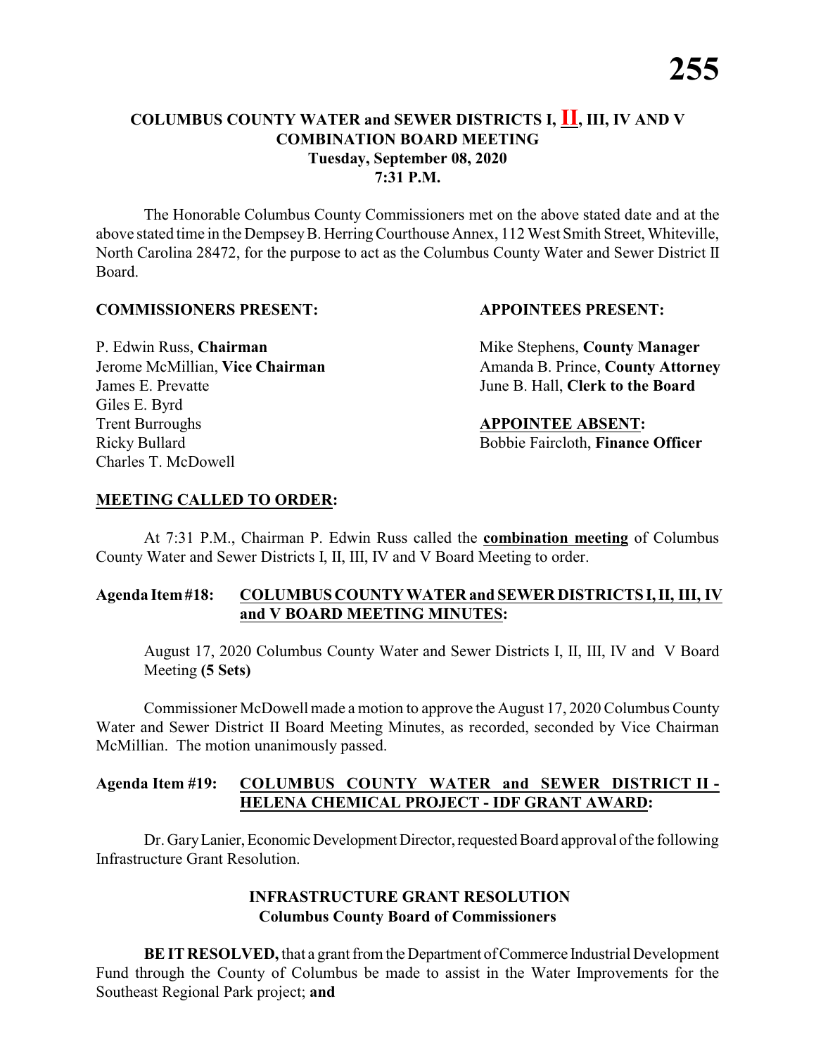The Honorable Columbus County Commissioners met on the above stated date and at the above stated time in the DempseyB. HerringCourthouse Annex, 112 West Smith Street, Whiteville, North Carolina 28472, for the purpose to act as the Columbus County Water and Sewer District II Board.

#### **COMMISSIONERS PRESENT: APPOINTEES PRESENT:**

James E. Prevatte June B. Hall, **Clerk to the Board** Giles E. Byrd **Trent Burroughs APPOINTEE ABSENT:** Ricky Bullard **Bobbie Faircloth, Finance Officer** Charles T. McDowell

P. Edwin Russ, **Chairman** Mike Stephens, **County Manager** Jerome McMillian, Vice Chairman Amanda B. Prince, County Attorney

# **MEETING CALLED TO ORDER:**

At 7:31 P.M., Chairman P. Edwin Russ called the **combination meeting** of Columbus County Water and Sewer Districts I, II, III, IV and V Board Meeting to order.

### **Agenda Item#18: COLUMBUS COUNTY WATER and SEWER DISTRICTS I,II, III, IV and V BOARD MEETING MINUTES:**

August 17, 2020 Columbus County Water and Sewer Districts I, II, III, IV and V Board Meeting **(5 Sets)**

Commissioner McDowell made a motion to approve the August 17, 2020 Columbus County Water and Sewer District II Board Meeting Minutes, as recorded, seconded by Vice Chairman McMillian. The motion unanimously passed.

# **Agenda Item #19: COLUMBUS COUNTY WATER and SEWER DISTRICT II - HELENA CHEMICAL PROJECT - IDF GRANT AWARD:**

Dr. Gary Lanier, Economic Development Director, requested Board approval of the following Infrastructure Grant Resolution.

# **INFRASTRUCTURE GRANT RESOLUTION Columbus County Board of Commissioners**

**BE IT RESOLVED, that a grant from the Department of Commerce Industrial Development** Fund through the County of Columbus be made to assist in the Water Improvements for the Southeast Regional Park project; **and**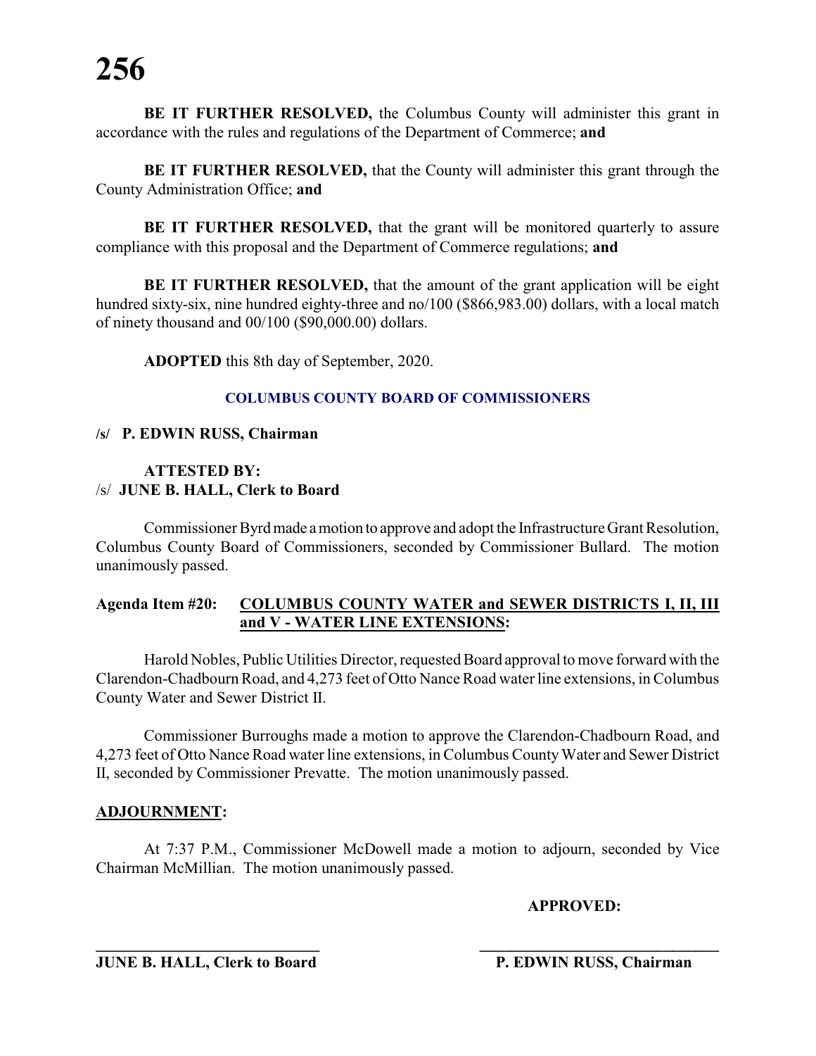**BE IT FURTHER RESOLVED, the Columbus County will administer this grant in** accordance with the rules and regulations of the Department of Commerce; **and**

**BE IT FURTHER RESOLVED,** that the County will administer this grant through the County Administration Office; **and**

**BE IT FURTHER RESOLVED,** that the grant will be monitored quarterly to assure compliance with this proposal and the Department of Commerce regulations; **and**

**BE IT FURTHER RESOLVED,** that the amount of the grant application will be eight hundred sixty-six, nine hundred eighty-three and no/100 (\$866,983.00) dollars, with a local match of ninety thousand and 00/100 (\$90,000.00) dollars.

**ADOPTED** this 8th day of September, 2020.

#### **COLUMBUS COUNTY BOARD OF COMMISSIONERS**

#### **/s/ P. EDWIN RUSS, Chairman**

#### **ATTESTED BY:** /s/ **JUNE B. HALL, Clerk to Board**

Commissioner Byrdmade amotion to approve and adopt the Infrastructure Grant Resolution, Columbus County Board of Commissioners, seconded by Commissioner Bullard. The motion unanimously passed.

### **Agenda Item #20: COLUMBUS COUNTY WATER and SEWER DISTRICTS I, II, III and V - WATER LINE EXTENSIONS:**

Harold Nobles, Public Utilities Director, requested Board approval to move forward with the Clarendon-Chadbourn Road, and 4,273 feet of Otto Nance Road water line extensions, in Columbus County Water and Sewer District II.

Commissioner Burroughs made a motion to approve the Clarendon-Chadbourn Road, and 4,273 feet of Otto Nance Road water line extensions, in Columbus CountyWater and Sewer District II, seconded by Commissioner Prevatte. The motion unanimously passed.

### **ADJOURNMENT:**

At 7:37 P.M., Commissioner McDowell made a motion to adjourn, seconded by Vice Chairman McMillian. The motion unanimously passed.

**\_\_\_\_\_\_\_\_\_\_\_\_\_\_\_\_\_\_\_\_\_\_\_\_\_\_\_\_ \_\_\_\_\_\_\_\_\_\_\_\_\_\_\_\_\_\_\_\_\_\_\_\_\_\_\_\_\_\_\_**

**APPROVED:**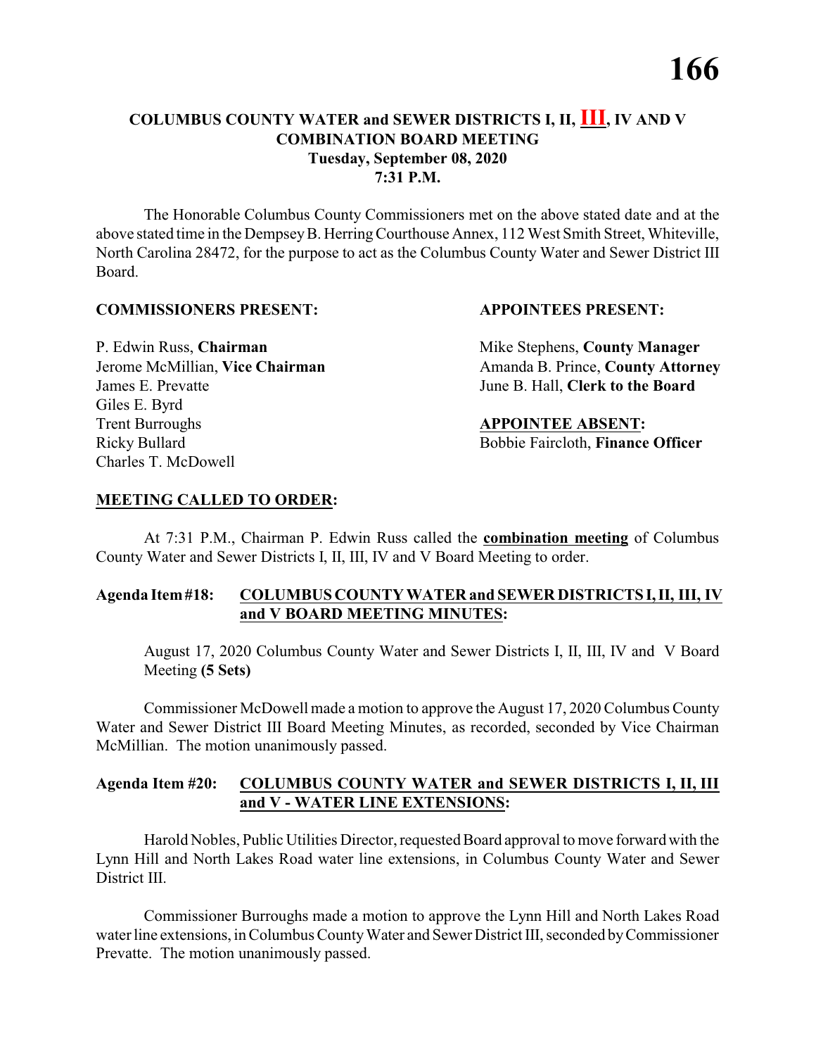The Honorable Columbus County Commissioners met on the above stated date and at the above stated time in the DempseyB. HerringCourthouse Annex, 112 West Smith Street, Whiteville, North Carolina 28472, for the purpose to act as the Columbus County Water and Sewer District III Board.

#### **COMMISSIONERS PRESENT: APPOINTEES PRESENT:**

James E. Prevatte June B. Hall, **Clerk to the Board** Giles E. Byrd **Trent Burroughs APPOINTEE ABSENT:** Ricky Bullard **Bobbie Faircloth, Finance Officer** Charles T. McDowell

P. Edwin Russ, **Chairman** Mike Stephens, **County Manager** Jerome McMillian, Vice Chairman Amanda B. Prince, County Attorney

# **MEETING CALLED TO ORDER:**

At 7:31 P.M., Chairman P. Edwin Russ called the **combination meeting** of Columbus County Water and Sewer Districts I, II, III, IV and V Board Meeting to order.

# **Agenda Item#18: COLUMBUS COUNTY WATER and SEWER DISTRICTS I,II, III, IV and V BOARD MEETING MINUTES:**

August 17, 2020 Columbus County Water and Sewer Districts I, II, III, IV and V Board Meeting **(5 Sets)**

Commissioner McDowell made a motion to approve the August 17, 2020 Columbus County Water and Sewer District III Board Meeting Minutes, as recorded, seconded by Vice Chairman McMillian. The motion unanimously passed.

### **Agenda Item #20: COLUMBUS COUNTY WATER and SEWER DISTRICTS I, II, III and V - WATER LINE EXTENSIONS:**

Harold Nobles, Public Utilities Director, requested Board approval to move forward with the Lynn Hill and North Lakes Road water line extensions, in Columbus County Water and Sewer District III.

Commissioner Burroughs made a motion to approve the Lynn Hill and North Lakes Road water line extensions, in Columbus CountyWater and Sewer District III, seconded byCommissioner Prevatte. The motion unanimously passed.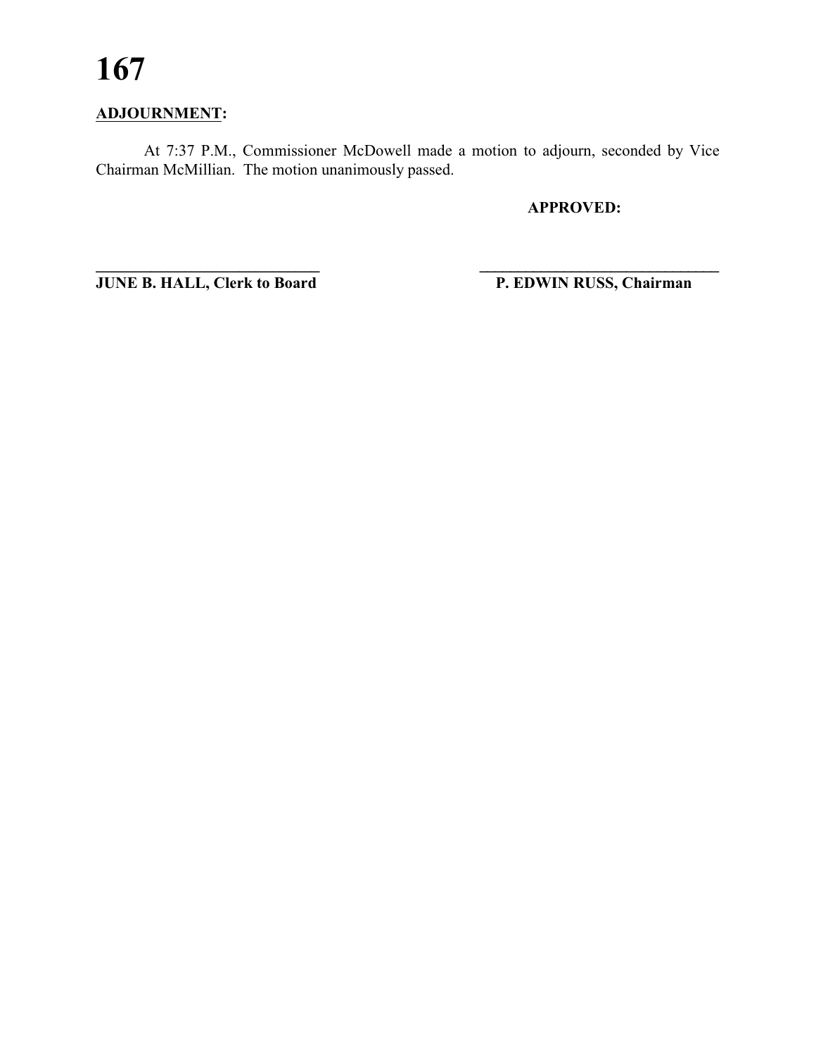# **ADJOURNMENT:**

At 7:37 P.M., Commissioner McDowell made a motion to adjourn, seconded by Vice Chairman McMillian. The motion unanimously passed.

**\_\_\_\_\_\_\_\_\_\_\_\_\_\_\_\_\_\_\_\_\_\_\_\_\_\_\_\_ \_\_\_\_\_\_\_\_\_\_\_\_\_\_\_\_\_\_\_\_\_\_\_\_\_\_\_\_\_\_\_**

**APPROVED:**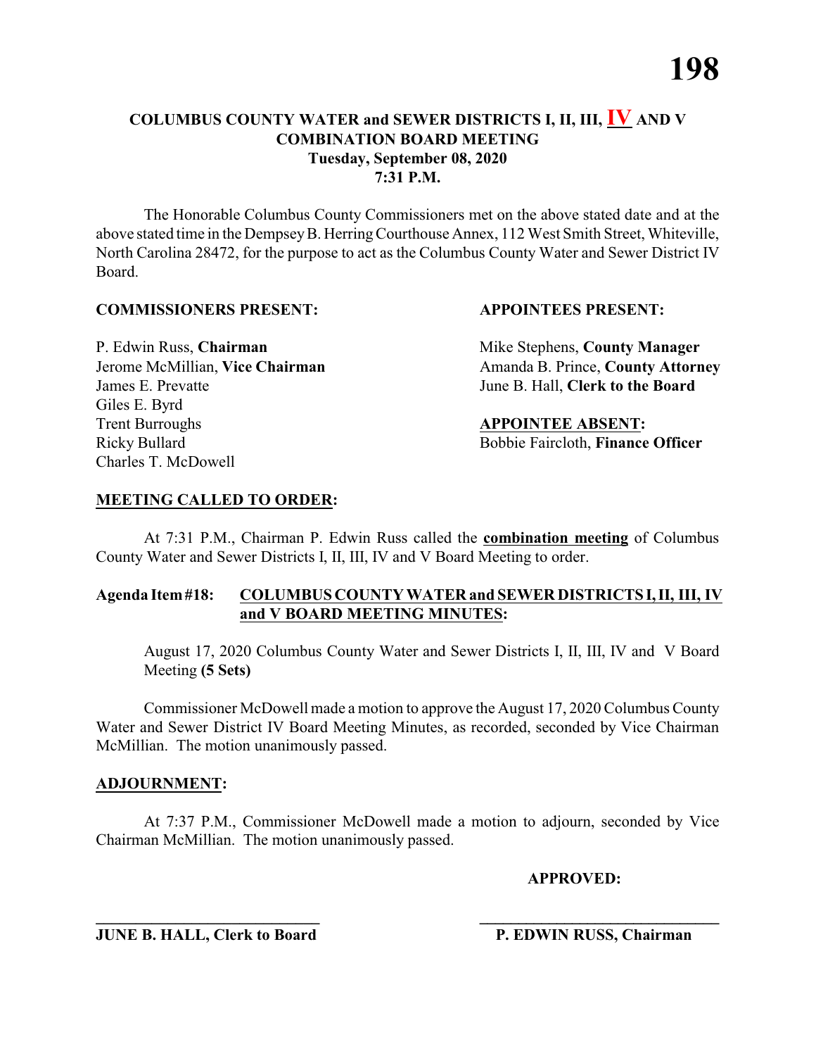The Honorable Columbus County Commissioners met on the above stated date and at the above stated time in the DempseyB. HerringCourthouse Annex, 112 West Smith Street, Whiteville, North Carolina 28472, for the purpose to act as the Columbus County Water and Sewer District IV Board.

#### **COMMISSIONERS PRESENT: APPOINTEES PRESENT:**

James E. Prevatte June B. Hall, **Clerk to the Board** Giles E. Byrd **Trent Burroughs APPOINTEE ABSENT:** Ricky Bullard **Bobbie Faircloth, Finance Officer** Charles T. McDowell

P. Edwin Russ, **Chairman** Mike Stephens, **County Manager** Jerome McMillian, Vice Chairman Amanda B. Prince, County Attorney

# **MEETING CALLED TO ORDER:**

At 7:31 P.M., Chairman P. Edwin Russ called the **combination meeting** of Columbus County Water and Sewer Districts I, II, III, IV and V Board Meeting to order.

# **Agenda Item#18: COLUMBUS COUNTY WATER and SEWER DISTRICTS I,II, III, IV and V BOARD MEETING MINUTES:**

August 17, 2020 Columbus County Water and Sewer Districts I, II, III, IV and V Board Meeting **(5 Sets)**

Commissioner McDowell made a motion to approve the August 17, 2020 Columbus County Water and Sewer District IV Board Meeting Minutes, as recorded, seconded by Vice Chairman McMillian. The motion unanimously passed.

### **ADJOURNMENT:**

At 7:37 P.M., Commissioner McDowell made a motion to adjourn, seconded by Vice Chairman McMillian. The motion unanimously passed.

**\_\_\_\_\_\_\_\_\_\_\_\_\_\_\_\_\_\_\_\_\_\_\_\_\_\_\_\_ \_\_\_\_\_\_\_\_\_\_\_\_\_\_\_\_\_\_\_\_\_\_\_\_\_\_\_\_\_\_\_**

**APPROVED:**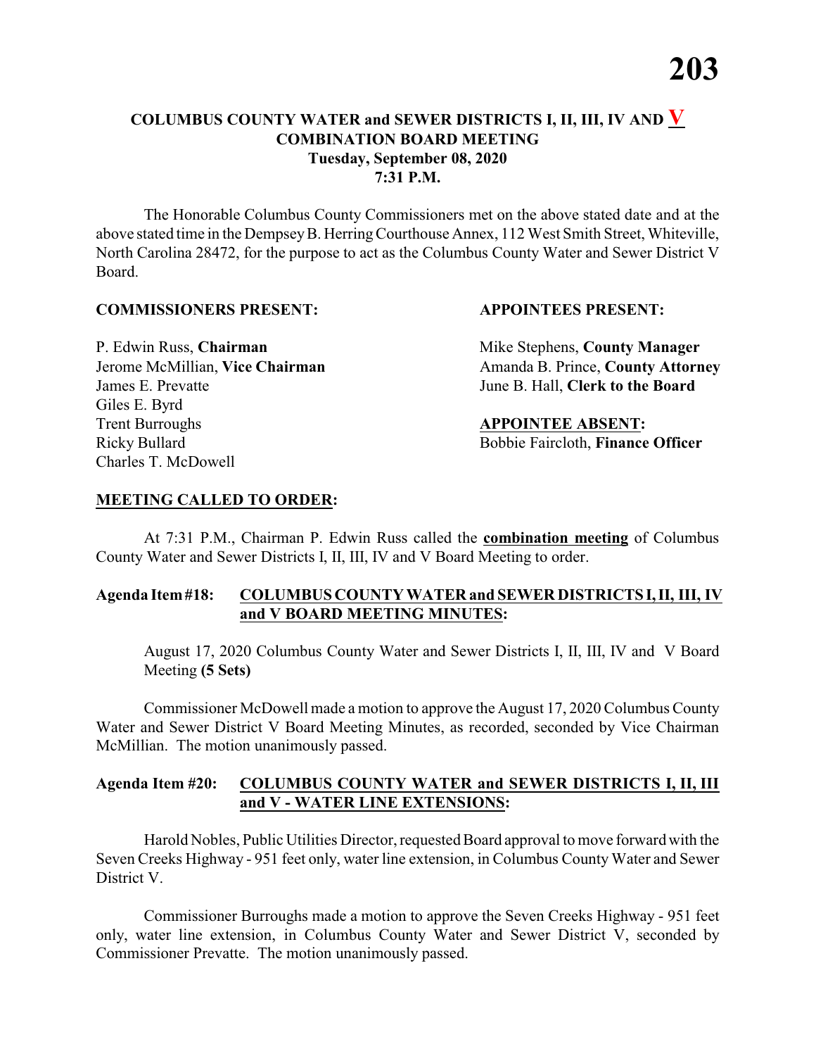The Honorable Columbus County Commissioners met on the above stated date and at the above stated time in the DempseyB. HerringCourthouse Annex, 112 West Smith Street, Whiteville, North Carolina 28472, for the purpose to act as the Columbus County Water and Sewer District V Board.

#### **COMMISSIONERS PRESENT: APPOINTEES PRESENT:**

James E. Prevatte June B. Hall, **Clerk to the Board** Giles E. Byrd **Trent Burroughs APPOINTEE ABSENT:** Ricky Bullard **Bobbie Faircloth, Finance Officer** Charles T. McDowell

P. Edwin Russ, **Chairman** Mike Stephens, **County Manager** Jerome McMillian, Vice Chairman Amanda B. Prince, County Attorney

#### **MEETING CALLED TO ORDER:**

At 7:31 P.M., Chairman P. Edwin Russ called the **combination meeting** of Columbus County Water and Sewer Districts I, II, III, IV and V Board Meeting to order.

### **Agenda Item#18: COLUMBUS COUNTY WATER and SEWER DISTRICTS I,II, III, IV and V BOARD MEETING MINUTES:**

August 17, 2020 Columbus County Water and Sewer Districts I, II, III, IV and V Board Meeting **(5 Sets)**

Commissioner McDowell made a motion to approve the August 17, 2020 Columbus County Water and Sewer District V Board Meeting Minutes, as recorded, seconded by Vice Chairman McMillian. The motion unanimously passed.

### **Agenda Item #20: COLUMBUS COUNTY WATER and SEWER DISTRICTS I, II, III and V - WATER LINE EXTENSIONS:**

Harold Nobles, Public Utilities Director, requested Board approval to move forward with the Seven Creeks Highway - 951 feet only, water line extension, in Columbus County Water and Sewer District V.

Commissioner Burroughs made a motion to approve the Seven Creeks Highway - 951 feet only, water line extension, in Columbus County Water and Sewer District V, seconded by Commissioner Prevatte. The motion unanimously passed.